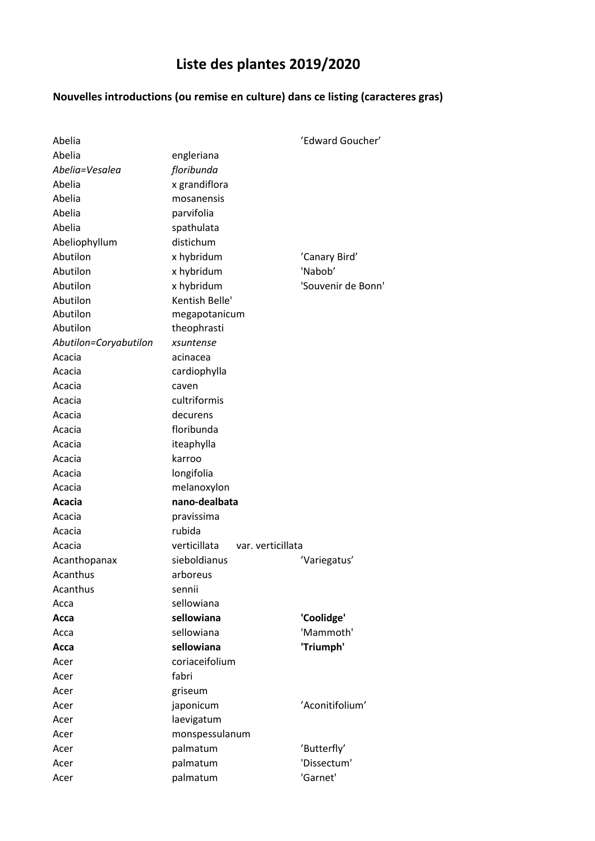## **Liste des plantes 2019/2020**

## **Nouvelles introductions (ou remise en culture) dans ce listing (caracteres gras)**

| Abelia<br>engleriana<br>Abelia=Vesalea<br>floribunda<br>Abelia<br>x grandiflora<br>Abelia<br>mosanensis<br>Abelia<br>parvifolia<br>Abelia<br>spathulata<br>distichum<br>Abeliophyllum<br>Abutilon<br>x hybridum<br>'Canary Bird'<br>Abutilon<br>'Nabob'<br>x hybridum<br>Abutilon<br>x hybridum<br>'Souvenir de Bonn'<br>Kentish Belle'<br>Abutilon<br>Abutilon<br>megapotanicum<br>Abutilon<br>theophrasti<br>Abutilon=Coryabutilon<br>xsuntense<br>Acacia<br>acinacea<br>Acacia<br>cardiophylla<br>Acacia<br>caven<br>cultriformis<br>Acacia<br>Acacia<br>decurens<br>floribunda<br>Acacia<br>Acacia<br>iteaphylla<br>karroo<br>Acacia<br>longifolia<br>Acacia<br>melanoxylon<br>Acacia<br>nano-dealbata<br>Acacia<br>Acacia<br>pravissima<br>rubida<br>Acacia<br>verticillata<br>Acacia<br>var. verticillata<br>sieboldianus<br>Acanthopanax<br>'Variegatus'<br>Acanthus<br>arboreus<br>Acanthus<br>sennii |
|---------------------------------------------------------------------------------------------------------------------------------------------------------------------------------------------------------------------------------------------------------------------------------------------------------------------------------------------------------------------------------------------------------------------------------------------------------------------------------------------------------------------------------------------------------------------------------------------------------------------------------------------------------------------------------------------------------------------------------------------------------------------------------------------------------------------------------------------------------------------------------------------------------------|
|                                                                                                                                                                                                                                                                                                                                                                                                                                                                                                                                                                                                                                                                                                                                                                                                                                                                                                               |
|                                                                                                                                                                                                                                                                                                                                                                                                                                                                                                                                                                                                                                                                                                                                                                                                                                                                                                               |
|                                                                                                                                                                                                                                                                                                                                                                                                                                                                                                                                                                                                                                                                                                                                                                                                                                                                                                               |
|                                                                                                                                                                                                                                                                                                                                                                                                                                                                                                                                                                                                                                                                                                                                                                                                                                                                                                               |
|                                                                                                                                                                                                                                                                                                                                                                                                                                                                                                                                                                                                                                                                                                                                                                                                                                                                                                               |
|                                                                                                                                                                                                                                                                                                                                                                                                                                                                                                                                                                                                                                                                                                                                                                                                                                                                                                               |
|                                                                                                                                                                                                                                                                                                                                                                                                                                                                                                                                                                                                                                                                                                                                                                                                                                                                                                               |
|                                                                                                                                                                                                                                                                                                                                                                                                                                                                                                                                                                                                                                                                                                                                                                                                                                                                                                               |
|                                                                                                                                                                                                                                                                                                                                                                                                                                                                                                                                                                                                                                                                                                                                                                                                                                                                                                               |
|                                                                                                                                                                                                                                                                                                                                                                                                                                                                                                                                                                                                                                                                                                                                                                                                                                                                                                               |
|                                                                                                                                                                                                                                                                                                                                                                                                                                                                                                                                                                                                                                                                                                                                                                                                                                                                                                               |
|                                                                                                                                                                                                                                                                                                                                                                                                                                                                                                                                                                                                                                                                                                                                                                                                                                                                                                               |
|                                                                                                                                                                                                                                                                                                                                                                                                                                                                                                                                                                                                                                                                                                                                                                                                                                                                                                               |
|                                                                                                                                                                                                                                                                                                                                                                                                                                                                                                                                                                                                                                                                                                                                                                                                                                                                                                               |
|                                                                                                                                                                                                                                                                                                                                                                                                                                                                                                                                                                                                                                                                                                                                                                                                                                                                                                               |
|                                                                                                                                                                                                                                                                                                                                                                                                                                                                                                                                                                                                                                                                                                                                                                                                                                                                                                               |
|                                                                                                                                                                                                                                                                                                                                                                                                                                                                                                                                                                                                                                                                                                                                                                                                                                                                                                               |
|                                                                                                                                                                                                                                                                                                                                                                                                                                                                                                                                                                                                                                                                                                                                                                                                                                                                                                               |
|                                                                                                                                                                                                                                                                                                                                                                                                                                                                                                                                                                                                                                                                                                                                                                                                                                                                                                               |
|                                                                                                                                                                                                                                                                                                                                                                                                                                                                                                                                                                                                                                                                                                                                                                                                                                                                                                               |
|                                                                                                                                                                                                                                                                                                                                                                                                                                                                                                                                                                                                                                                                                                                                                                                                                                                                                                               |
|                                                                                                                                                                                                                                                                                                                                                                                                                                                                                                                                                                                                                                                                                                                                                                                                                                                                                                               |
|                                                                                                                                                                                                                                                                                                                                                                                                                                                                                                                                                                                                                                                                                                                                                                                                                                                                                                               |
|                                                                                                                                                                                                                                                                                                                                                                                                                                                                                                                                                                                                                                                                                                                                                                                                                                                                                                               |
|                                                                                                                                                                                                                                                                                                                                                                                                                                                                                                                                                                                                                                                                                                                                                                                                                                                                                                               |
|                                                                                                                                                                                                                                                                                                                                                                                                                                                                                                                                                                                                                                                                                                                                                                                                                                                                                                               |
|                                                                                                                                                                                                                                                                                                                                                                                                                                                                                                                                                                                                                                                                                                                                                                                                                                                                                                               |
|                                                                                                                                                                                                                                                                                                                                                                                                                                                                                                                                                                                                                                                                                                                                                                                                                                                                                                               |
|                                                                                                                                                                                                                                                                                                                                                                                                                                                                                                                                                                                                                                                                                                                                                                                                                                                                                                               |
|                                                                                                                                                                                                                                                                                                                                                                                                                                                                                                                                                                                                                                                                                                                                                                                                                                                                                                               |
|                                                                                                                                                                                                                                                                                                                                                                                                                                                                                                                                                                                                                                                                                                                                                                                                                                                                                                               |
| sellowiana<br>Acca                                                                                                                                                                                                                                                                                                                                                                                                                                                                                                                                                                                                                                                                                                                                                                                                                                                                                            |
| sellowiana<br>'Coolidge'<br>Acca                                                                                                                                                                                                                                                                                                                                                                                                                                                                                                                                                                                                                                                                                                                                                                                                                                                                              |
| 'Mammoth'<br>sellowiana<br>Асса                                                                                                                                                                                                                                                                                                                                                                                                                                                                                                                                                                                                                                                                                                                                                                                                                                                                               |
| sellowiana<br>'Triumph'<br>Acca                                                                                                                                                                                                                                                                                                                                                                                                                                                                                                                                                                                                                                                                                                                                                                                                                                                                               |
| coriaceifolium<br>Acer                                                                                                                                                                                                                                                                                                                                                                                                                                                                                                                                                                                                                                                                                                                                                                                                                                                                                        |
| fabri<br>Acer                                                                                                                                                                                                                                                                                                                                                                                                                                                                                                                                                                                                                                                                                                                                                                                                                                                                                                 |
| Acer<br>griseum                                                                                                                                                                                                                                                                                                                                                                                                                                                                                                                                                                                                                                                                                                                                                                                                                                                                                               |
| 'Aconitifolium'<br>japonicum<br>Acer                                                                                                                                                                                                                                                                                                                                                                                                                                                                                                                                                                                                                                                                                                                                                                                                                                                                          |
| laevigatum<br>Acer                                                                                                                                                                                                                                                                                                                                                                                                                                                                                                                                                                                                                                                                                                                                                                                                                                                                                            |
| monspessulanum<br>Acer                                                                                                                                                                                                                                                                                                                                                                                                                                                                                                                                                                                                                                                                                                                                                                                                                                                                                        |
| palmatum<br>'Butterfly'<br>Acer                                                                                                                                                                                                                                                                                                                                                                                                                                                                                                                                                                                                                                                                                                                                                                                                                                                                               |
| 'Dissectum'<br>palmatum<br>Acer                                                                                                                                                                                                                                                                                                                                                                                                                                                                                                                                                                                                                                                                                                                                                                                                                                                                               |
| 'Garnet'<br>palmatum<br>Acer                                                                                                                                                                                                                                                                                                                                                                                                                                                                                                                                                                                                                                                                                                                                                                                                                                                                                  |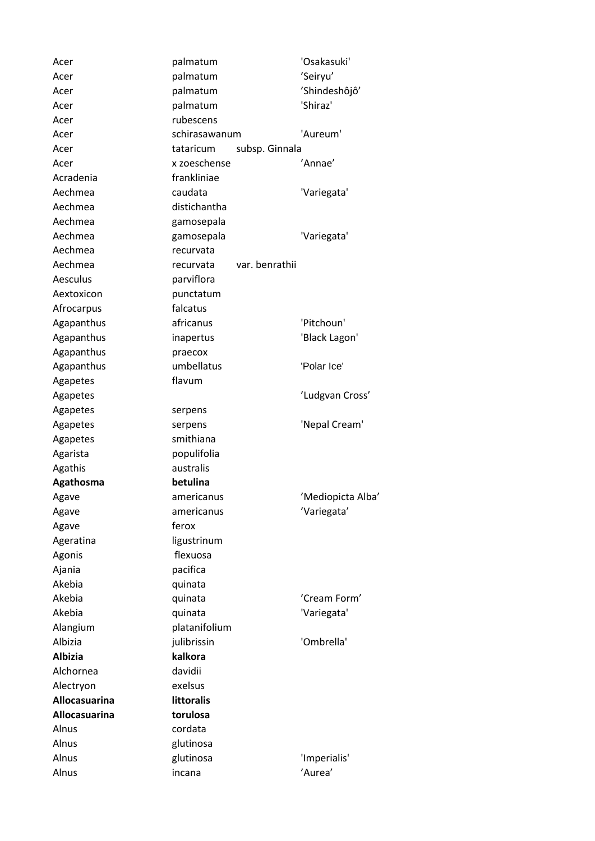| Acer                 | palmatum          |                | 'Osakasuki'       |
|----------------------|-------------------|----------------|-------------------|
| Acer                 | palmatum          |                | 'Seiryu'          |
| Acer                 | palmatum          |                | 'Shindeshôjô'     |
| Acer                 | palmatum          |                | 'Shiraz'          |
| Acer                 | rubescens         |                |                   |
| Acer                 | schirasawanum     |                | 'Aureum'          |
| Acer                 | tataricum         | subsp. Ginnala |                   |
| Acer                 | x zoeschense      |                | 'Annae'           |
| Acradenia            | frankliniae       |                |                   |
| Aechmea              | caudata           |                | 'Variegata'       |
| Aechmea              | distichantha      |                |                   |
| Aechmea              | gamosepala        |                |                   |
| Aechmea              | gamosepala        |                | 'Variegata'       |
| Aechmea              | recurvata         |                |                   |
| Aechmea              | recurvata         | var. benrathii |                   |
| Aesculus             | parviflora        |                |                   |
| Aextoxicon           | punctatum         |                |                   |
| Afrocarpus           | falcatus          |                |                   |
| Agapanthus           | africanus         |                | 'Pitchoun'        |
| Agapanthus           | inapertus         |                | 'Black Lagon'     |
| Agapanthus           | praecox           |                |                   |
| Agapanthus           | umbellatus        |                | 'Polar Ice'       |
| Agapetes             | flavum            |                |                   |
| Agapetes             |                   |                | 'Ludgvan Cross'   |
| Agapetes             | serpens           |                |                   |
| Agapetes             | serpens           |                | 'Nepal Cream'     |
| Agapetes             | smithiana         |                |                   |
| Agarista             | populifolia       |                |                   |
| Agathis              | australis         |                |                   |
| Agathosma            | betulina          |                |                   |
| Agave                | americanus        |                | 'Mediopicta Alba' |
| Agave                | americanus        |                | 'Variegata'       |
| Agave                | ferox             |                |                   |
| Ageratina            | ligustrinum       |                |                   |
| Agonis               | flexuosa          |                |                   |
| Ajania               | pacifica          |                |                   |
| Akebia               | quinata           |                |                   |
| Akebia               | quinata           |                | 'Cream Form'      |
| Akebia               | quinata           |                | 'Variegata'       |
| Alangium             | platanifolium     |                |                   |
| Albizia              | julibrissin       |                | 'Ombrella'        |
| <b>Albizia</b>       | kalkora           |                |                   |
| Alchornea            | davidii           |                |                   |
| Alectryon            | exelsus           |                |                   |
| Allocasuarina        | <b>littoralis</b> |                |                   |
| <b>Allocasuarina</b> | torulosa          |                |                   |
| Alnus                | cordata           |                |                   |
| Alnus                | glutinosa         |                |                   |
| Alnus                | glutinosa         |                | 'Imperialis'      |
| Alnus                | incana            |                | 'Aurea'           |
|                      |                   |                |                   |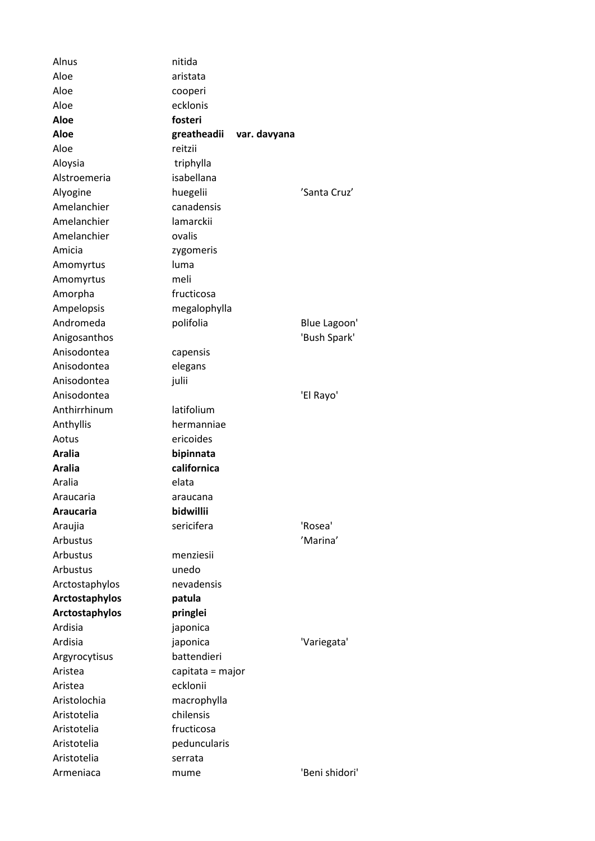| Alnus          | nitida                      |                |
|----------------|-----------------------------|----------------|
| Aloe           | aristata                    |                |
| Aloe           | cooperi                     |                |
| Aloe           | ecklonis                    |                |
| Aloe           | fosteri                     |                |
| Aloe           | greatheadii<br>var. davyana |                |
| Aloe           | reitzii                     |                |
| Aloysia        | triphylla                   |                |
| Alstroemeria   | isabellana                  |                |
| Alyogine       | huegelii                    | 'Santa Cruz'   |
| Amelanchier    | canadensis                  |                |
| Amelanchier    | lamarckii                   |                |
| Amelanchier    | ovalis                      |                |
| Amicia         | zygomeris                   |                |
| Amomyrtus      | luma                        |                |
| Amomyrtus      | meli                        |                |
| Amorpha        | fructicosa                  |                |
| Ampelopsis     | megalophylla                |                |
| Andromeda      | polifolia                   | Blue Lagoon'   |
| Anigosanthos   |                             | 'Bush Spark'   |
| Anisodontea    | capensis                    |                |
| Anisodontea    | elegans                     |                |
| Anisodontea    | julii                       |                |
| Anisodontea    |                             | 'El Rayo'      |
| Anthirrhinum   | latifolium                  |                |
|                |                             |                |
| Anthyllis      | hermanniae<br>ericoides     |                |
| Aotus          |                             |                |
| <b>Aralia</b>  | bipinnata                   |                |
| <b>Aralia</b>  | californica                 |                |
| Aralia         | elata                       |                |
| Araucaria      | araucana                    |                |
| Araucaria      | bidwillii                   |                |
| Araujia        | sericifera                  | 'Rosea'        |
| Arbustus       |                             | 'Marina'       |
| Arbustus       | menziesii                   |                |
| Arbustus       | unedo                       |                |
| Arctostaphylos | nevadensis                  |                |
| Arctostaphylos | patula                      |                |
| Arctostaphylos | pringlei                    |                |
| Ardisia        | japonica                    |                |
| Ardisia        | japonica                    | 'Variegata'    |
| Argyrocytisus  | battendieri                 |                |
| Aristea        | capitata = major            |                |
| Aristea        | ecklonii                    |                |
| Aristolochia   | macrophylla                 |                |
| Aristotelia    | chilensis                   |                |
| Aristotelia    | fructicosa                  |                |
| Aristotelia    | peduncularis                |                |
| Aristotelia    | serrata                     |                |
| Armeniaca      | mume                        | 'Beni shidori' |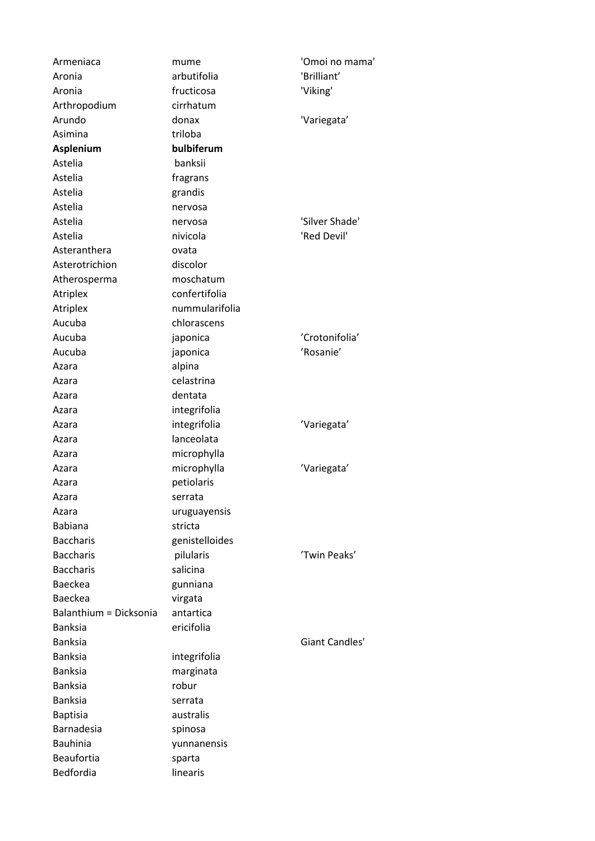| Armeniaca              | mume           | 'Omoi no mama' |
|------------------------|----------------|----------------|
| Aronia                 | arbutifolia    | 'Brilliant'    |
| Aronia                 | fructicosa     | 'Viking'       |
| Arthropodium           | cirrhatum      |                |
| Arundo                 | donax          | 'Variegata'    |
| Asimina                | triloba        |                |
| Asplenium              | bulbiferum     |                |
| Astelia                | banksii        |                |
| Astelia                | fragrans       |                |
| Astelia                | grandis        |                |
| Astelia                | nervosa        |                |
| Astelia                | nervosa        | 'Silver Shade' |
| Astelia                | nivicola       | 'Red Devil'    |
| Asteranthera           | ovata          |                |
| Asterotrichion         | discolor       |                |
| Atherosperma           | moschatum      |                |
| Atriplex               | confertifolia  |                |
| Atriplex               | nummularifolia |                |
| Aucuba                 | chlorascens    |                |
| Aucuba                 | japonica       | 'Crotonifolia' |
| Aucuba                 | japonica       | 'Rosanie'      |
| Azara                  | alpina         |                |
| Azara                  | celastrina     |                |
| Azara                  | dentata        |                |
| Azara                  | integrifolia   |                |
| Azara                  | integrifolia   | 'Variegata'    |
| Azara                  | lanceolata     |                |
| Azara                  | microphylla    |                |
|                        | microphylla    | 'Variegata'    |
| Azara                  | petiolaris     |                |
| Azara<br>Azara         | serrata        |                |
|                        |                |                |
| Azara                  | uruguayensis   |                |
| <b>Babiana</b>         | stricta        |                |
| <b>Baccharis</b>       | genistelloides |                |
| <b>Baccharis</b>       | pilularis      | 'Twin Peaks'   |
| <b>Baccharis</b>       | salicina       |                |
| <b>Baeckea</b>         | gunniana       |                |
| <b>Baeckea</b>         | virgata        |                |
| Balanthium = Dicksonia | antartica      |                |
| <b>Banksia</b>         | ericifolia     |                |
| <b>Banksia</b>         |                | Giant Candles' |
| <b>Banksia</b>         | integrifolia   |                |
| <b>Banksia</b>         | marginata      |                |
| <b>Banksia</b>         | robur          |                |
| <b>Banksia</b>         | serrata        |                |
| <b>Baptisia</b>        | australis      |                |
| Barnadesia             | spinosa        |                |
| <b>Bauhinia</b>        | yunnanensis    |                |
| Beaufortia             | sparta         |                |
| Bedfordia              | linearis       |                |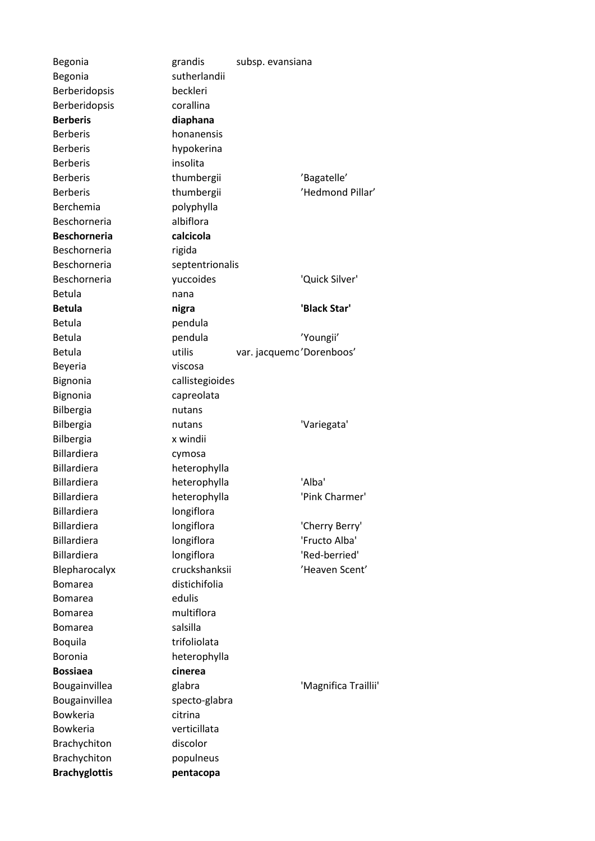Begonia **grandis** grandis subsp. evansiana Begonia sutherlandii Berberidopsis beckleri Berberidopsis corallina **Berberis diaphana** Berberis honanensis Berberis hypokerina Berberis insolita Berberis thumbergii 'Bagatelle' Berberis thumbergii 'Hedmond Pillar' Berchemia polyphylla Beschorneria albiflora **Beschorneria calcicola** Beschorneria rigida Beschorneria septentrionalis Beschorneria yuccoides 'Quick Silver' Betula nana **Betula nigra 'Black Star'** Betula **pendula** Betula **beredula** pendula **contract in the COV** Youngii' Betula var. jacquemo'Dorenboos' Beyeria viscosa Bignonia callistegioides Bignonia capreolata Bilbergia nutans Bilbergia **nutans** nutans 'Variegata' Bilbergia x windii Billardiera cymosa Billardiera heterophylla Billardiera heterophylla 'Alba' Billardiera heterophylla 'Pink Charmer' Billardiera **longiflora** Billardiera longiflora 'Cherry Berry' Billardiera longiflora 'Fructo Alba' Billardiera longiflora 'Red-berried' Blepharocalyx cruckshanksii 'Heaven Scent' Bomarea distichifolia Bomarea edulis Bomarea multiflora Bomarea salsilla Boquila trifoliolata Boronia heterophylla **Bossiaea cinerea** Bougainvillea glabra 'Magnifica Traillii' Bougainvillea specto-glabra Bowkeria citrina Bowkeria verticillata Brachychiton discolor Brachychiton populneus **Brachyglottis pentacopa**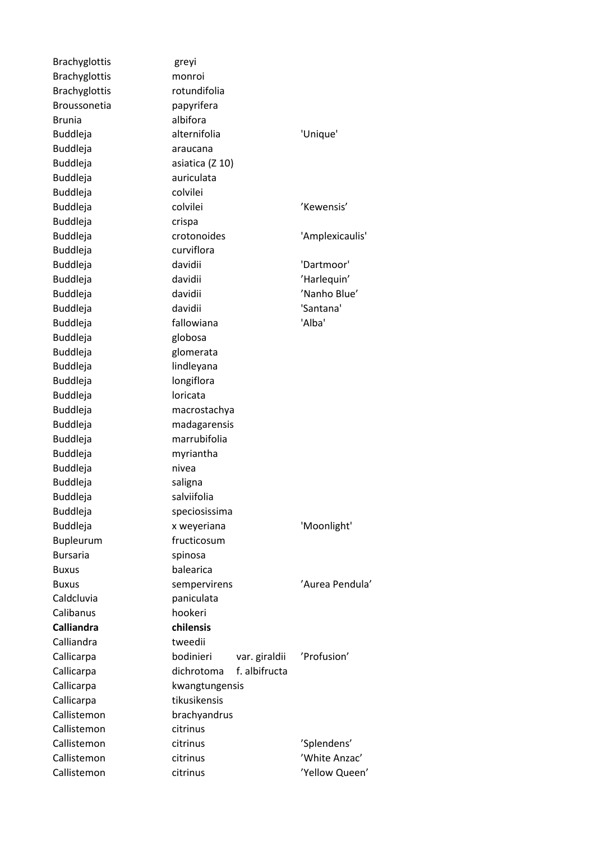| <b>Brachyglottis</b> | greyi                       |                 |
|----------------------|-----------------------------|-----------------|
| <b>Brachyglottis</b> | monroi                      |                 |
| <b>Brachyglottis</b> | rotundifolia                |                 |
| Broussonetia         | papyrifera                  |                 |
| <b>Brunia</b>        | albifora                    |                 |
| <b>Buddleja</b>      | alternifolia                | 'Unique'        |
| <b>Buddleja</b>      | araucana                    |                 |
| <b>Buddleja</b>      | asiatica (Z 10)             |                 |
| <b>Buddleja</b>      | auriculata                  |                 |
| <b>Buddleja</b>      | colvilei                    |                 |
| <b>Buddleja</b>      | colvilei                    | 'Kewensis'      |
| <b>Buddleja</b>      | crispa                      |                 |
| <b>Buddleja</b>      | crotonoides                 | 'Amplexicaulis' |
| Buddleja             | curviflora                  |                 |
| <b>Buddleja</b>      | davidii                     | 'Dartmoor'      |
| <b>Buddleja</b>      | davidii                     | 'Harlequin'     |
| <b>Buddleja</b>      | davidii                     | 'Nanho Blue'    |
| Buddleja             | davidii                     | 'Santana'       |
| <b>Buddleja</b>      | fallowiana                  | 'Alba'          |
| <b>Buddleja</b>      | globosa                     |                 |
| <b>Buddleja</b>      | glomerata                   |                 |
| Buddleja             | lindleyana                  |                 |
| <b>Buddleja</b>      | longiflora                  |                 |
| <b>Buddleja</b>      | loricata                    |                 |
| <b>Buddleja</b>      | macrostachya                |                 |
| <b>Buddleja</b>      | madagarensis                |                 |
| <b>Buddleja</b>      | marrubifolia                |                 |
| <b>Buddleja</b>      | myriantha                   |                 |
| <b>Buddleja</b>      | nivea                       |                 |
| Buddleja             | saligna                     |                 |
| <b>Buddleja</b>      | salviifolia                 |                 |
| Buddleja             | speciosissima               |                 |
| <b>Buddleja</b>      | x weyeriana                 | 'Moonlight'     |
| Bupleurum            | fructicosum                 |                 |
| <b>Bursaria</b>      | spinosa                     |                 |
| <b>Buxus</b>         | balearica                   |                 |
| <b>Buxus</b>         | sempervirens                | 'Aurea Pendula' |
| Caldcluvia           | paniculata                  |                 |
| Calibanus            | hookeri                     |                 |
| <b>Calliandra</b>    | chilensis                   |                 |
| Calliandra           | tweedii                     |                 |
|                      |                             |                 |
| Callicarpa           | bodinieri<br>var. giraldii  | 'Profusion'     |
| Callicarpa           | f. albifructa<br>dichrotoma |                 |
| Callicarpa           | kwangtungensis              |                 |
| Callicarpa           | tikusikensis                |                 |
| Callistemon          | brachyandrus                |                 |
| Callistemon          | citrinus                    |                 |
| Callistemon          | citrinus                    | 'Splendens'     |
| Callistemon          | citrinus                    | 'White Anzac'   |
| Callistemon          | citrinus                    | 'Yellow Queen'  |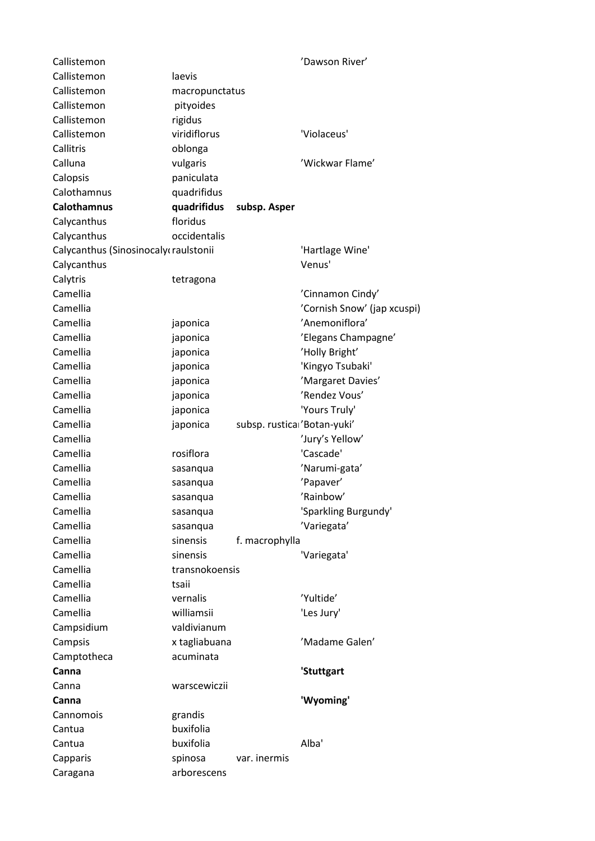| Callistemon                          |                |                             | 'Dawson River'              |
|--------------------------------------|----------------|-----------------------------|-----------------------------|
| Callistemon                          | laevis         |                             |                             |
| Callistemon                          | macropunctatus |                             |                             |
| Callistemon                          | pityoides      |                             |                             |
| Callistemon                          | rigidus        |                             |                             |
| Callistemon                          | viridiflorus   |                             | 'Violaceus'                 |
| Callitris                            | oblonga        |                             |                             |
| Calluna                              | vulgaris       |                             | 'Wickwar Flame'             |
| Calopsis                             | paniculata     |                             |                             |
| Calothamnus                          | quadrifidus    |                             |                             |
| <b>Calothamnus</b>                   | quadrifidus    | subsp. Asper                |                             |
| Calycanthus                          | floridus       |                             |                             |
| Calycanthus                          | occidentalis   |                             |                             |
| Calycanthus (Sinosinocaly raulstonii |                |                             | 'Hartlage Wine'             |
| Calycanthus                          |                |                             | Venus'                      |
| Calytris                             | tetragona      |                             |                             |
| Camellia                             |                |                             | 'Cinnamon Cindy'            |
| Camellia                             |                |                             | 'Cornish Snow' (jap xcuspi) |
| Camellia                             | japonica       |                             | 'Anemoniflora'              |
| Camellia                             | japonica       |                             | 'Elegans Champagne'         |
| Camellia                             | japonica       |                             | 'Holly Bright'              |
| Camellia                             | japonica       |                             | 'Kingyo Tsubaki'            |
| Camellia                             | japonica       |                             | 'Margaret Davies'           |
| Camellia                             | japonica       |                             | 'Rendez Vous'               |
| Camellia                             | japonica       |                             | 'Yours Truly'               |
| Camellia                             | japonica       | subsp. rustica 'Botan-yuki' |                             |
| Camellia                             |                |                             | 'Jury's Yellow'             |
| Camellia                             | rosiflora      |                             | 'Cascade'                   |
| Camellia                             | sasanqua       |                             | 'Narumi-gata'               |
| Camellia                             | sasanqua       |                             | 'Papaver'                   |
| Camellia                             | sasanqua       |                             | 'Rainbow'                   |
| Camellia                             | sasanqua       |                             | 'Sparkling Burgundy'        |
| Camellia                             | sasanqua       |                             | 'Variegata'                 |
| Camellia                             | sinensis       | f. macrophylla              |                             |
| Camellia                             | sinensis       |                             | 'Variegata'                 |
| Camellia                             | transnokoensis |                             |                             |
| Camellia                             | tsaii          |                             |                             |
| Camellia                             | vernalis       |                             | 'Yultide'                   |
| Camellia                             | williamsii     |                             | 'Les Jury'                  |
| Campsidium                           | valdivianum    |                             |                             |
| Campsis                              | x tagliabuana  |                             | 'Madame Galen'              |
| Camptotheca                          | acuminata      |                             |                             |
| Canna                                |                |                             | 'Stuttgart                  |
| Canna                                | warscewiczii   |                             |                             |
| Canna                                |                |                             | 'Wyoming'                   |
| Cannomois                            | grandis        |                             |                             |
| Cantua                               | buxifolia      |                             |                             |
| Cantua                               | buxifolia      |                             | Alba'                       |
| Capparis                             | spinosa        | var. inermis                |                             |
| Caragana                             | arborescens    |                             |                             |
|                                      |                |                             |                             |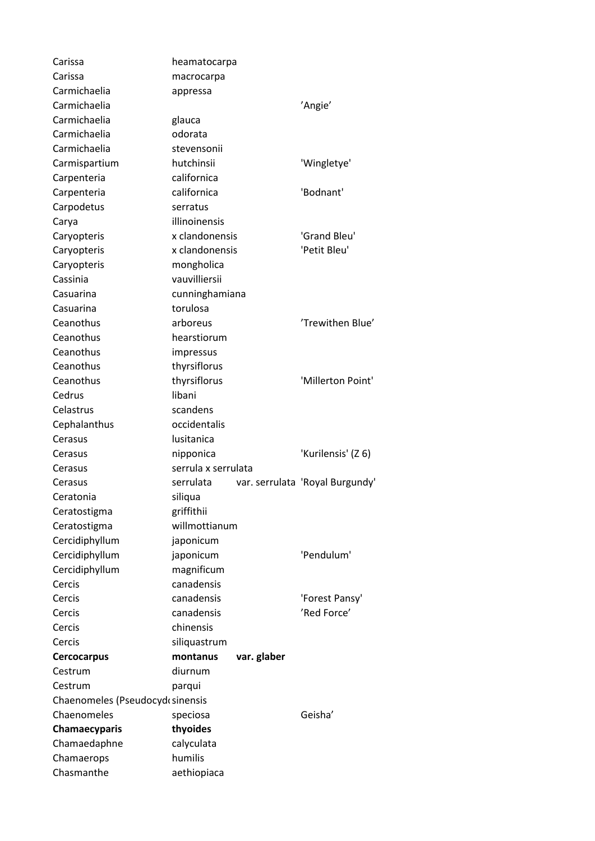| Carissa                         | heamatocarpa               |             |                                 |  |
|---------------------------------|----------------------------|-------------|---------------------------------|--|
| Carissa                         | macrocarpa                 |             |                                 |  |
| Carmichaelia                    | appressa                   |             |                                 |  |
| Carmichaelia                    | 'Angie'                    |             |                                 |  |
| Carmichaelia                    | glauca                     |             |                                 |  |
| Carmichaelia                    | odorata                    |             |                                 |  |
| Carmichaelia                    | stevensonii                |             |                                 |  |
| Carmispartium                   | hutchinsii                 |             | 'Wingletye'                     |  |
| Carpenteria                     | californica                |             |                                 |  |
| Carpenteria                     | californica                |             | 'Bodnant'                       |  |
| Carpodetus                      | serratus                   |             |                                 |  |
| Carya                           | illinoinensis              |             |                                 |  |
| Caryopteris                     | x clandonensis             |             | 'Grand Bleu'                    |  |
| Caryopteris                     | x clandonensis             |             | 'Petit Bleu'                    |  |
| Caryopteris                     | mongholica                 |             |                                 |  |
| Cassinia                        | vauvilliersii              |             |                                 |  |
| Casuarina                       |                            |             |                                 |  |
| Casuarina                       | cunninghamiana<br>torulosa |             |                                 |  |
|                                 |                            |             |                                 |  |
| Ceanothus                       | arboreus                   |             | 'Trewithen Blue'                |  |
| Ceanothus                       | hearstiorum                |             |                                 |  |
| Ceanothus                       | impressus                  |             |                                 |  |
| Ceanothus                       | thyrsiflorus               |             |                                 |  |
| Ceanothus                       | thyrsiflorus               |             | 'Millerton Point'               |  |
| Cedrus                          | libani                     |             |                                 |  |
| Celastrus                       | scandens                   |             |                                 |  |
| Cephalanthus                    | occidentalis               |             |                                 |  |
| Cerasus                         | lusitanica                 |             |                                 |  |
| Cerasus                         | nipponica                  |             | 'Kurilensis' (Z 6)              |  |
| Cerasus                         | serrula x serrulata        |             |                                 |  |
| Cerasus                         | serrulata                  |             | var. serrulata 'Royal Burgundy' |  |
| Ceratonia                       | siliqua                    |             |                                 |  |
| Ceratostigma                    | griffithii                 |             |                                 |  |
| Ceratostigma                    | willmottianum              |             |                                 |  |
| Cercidiphyllum                  | japonicum                  |             |                                 |  |
| Cercidiphyllum                  | japonicum                  |             | 'Pendulum'                      |  |
| Cercidiphyllum                  | magnificum                 |             |                                 |  |
| Cercis                          | canadensis                 |             |                                 |  |
| Cercis                          | canadensis                 |             | 'Forest Pansy'                  |  |
| Cercis                          | canadensis                 |             | 'Red Force'                     |  |
| Cercis                          | chinensis                  |             |                                 |  |
| Cercis                          | siliquastrum               |             |                                 |  |
| <b>Cercocarpus</b>              | montanus                   | var. glaber |                                 |  |
| Cestrum                         | diurnum                    |             |                                 |  |
| Cestrum                         | parqui                     |             |                                 |  |
| Chaenomeles (Pseudocydesinensis |                            |             |                                 |  |
| Chaenomeles                     | speciosa                   |             | Geisha'                         |  |
| Chamaecyparis                   | thyoides                   |             |                                 |  |
| Chamaedaphne                    | calyculata                 |             |                                 |  |
| Chamaerops                      | humilis                    |             |                                 |  |
| Chasmanthe                      | aethiopiaca                |             |                                 |  |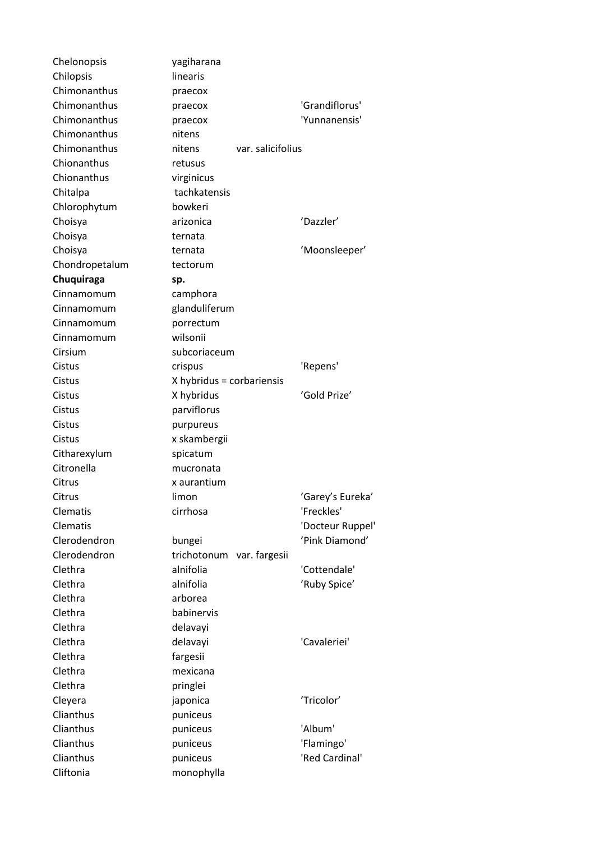| Chelonopsis          | yagiharana                   |                  |
|----------------------|------------------------------|------------------|
| Chilopsis            | linearis                     |                  |
| Chimonanthus         | praecox                      |                  |
| Chimonanthus         | praecox                      | 'Grandiflorus'   |
| Chimonanthus         | praecox                      | 'Yunnanensis'    |
| Chimonanthus         | nitens                       |                  |
| Chimonanthus         | var. salicifolius<br>nitens  |                  |
| Chionanthus          | retusus                      |                  |
| Chionanthus          | virginicus                   |                  |
| Chitalpa             | tachkatensis                 |                  |
| Chlorophytum         | bowkeri                      |                  |
| Choisya              | arizonica                    | 'Dazzler'        |
| Choisya              | ternata                      |                  |
| Choisya              | ternata                      | 'Moonsleeper'    |
| Chondropetalum       | tectorum                     |                  |
| Chuquiraga           | sp.                          |                  |
| Cinnamomum           | camphora                     |                  |
| Cinnamomum           | glanduliferum                |                  |
| Cinnamomum           | porrectum                    |                  |
| Cinnamomum           | wilsonii                     |                  |
| Cirsium              | subcoriaceum                 |                  |
| Cistus               | crispus                      | 'Repens'         |
| Cistus               | X hybridus = corbariensis    |                  |
| Cistus               | X hybridus                   | 'Gold Prize'     |
| Cistus               | parviflorus                  |                  |
| Cistus               | purpureus                    |                  |
| Cistus               | x skambergii                 |                  |
| Citharexylum         | spicatum                     |                  |
| Citronella           | mucronata                    |                  |
| Citrus               | x aurantium                  |                  |
| Citrus               | limon                        | 'Garey's Eureka' |
| Clematis             | cirrhosa                     | 'Freckles'       |
| Clematis             |                              | 'Docteur Ruppel' |
| Clerodendron         | bungei                       | 'Pink Diamond'   |
| Clerodendron         | trichotonum<br>var. fargesii |                  |
| Clethra              | alnifolia                    | 'Cottendale'     |
| Clethra              | alnifolia                    | 'Ruby Spice'     |
| Clethra              | arborea                      |                  |
| Clethra              | babinervis                   |                  |
| Clethra              | delavayi                     |                  |
| Clethra              | delavayi                     | 'Cavaleriei'     |
| Clethra              | fargesii                     |                  |
| Clethra              | mexicana                     |                  |
| Clethra              | pringlei                     |                  |
|                      |                              | 'Tricolor'       |
| Cleyera<br>Clianthus | japonica                     |                  |
|                      | puniceus                     |                  |
| Clianthus            | puniceus                     | 'Album'          |
| Clianthus            | puniceus                     | 'Flamingo'       |
| Clianthus            | puniceus                     | 'Red Cardinal'   |
| Cliftonia            | monophylla                   |                  |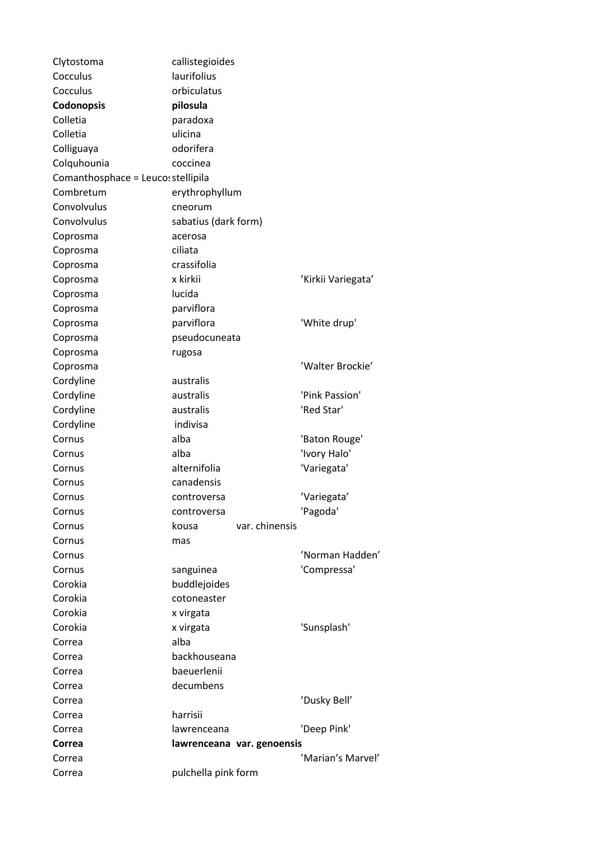| Clytostoma                         | callistegioides            |                    |
|------------------------------------|----------------------------|--------------------|
| Cocculus                           | laurifolius                |                    |
| Cocculus                           | orbiculatus                |                    |
| Codonopsis                         | pilosula                   |                    |
| Colletia                           | paradoxa                   |                    |
| Colletia                           | ulicina                    |                    |
| Colliguaya                         | odorifera                  |                    |
| Colquhounia                        | coccinea                   |                    |
| Comanthosphace = Leuco: stellipila |                            |                    |
| Combretum                          | erythrophyllum             |                    |
| Convolvulus                        | cneorum                    |                    |
| Convolvulus                        | sabatius (dark form)       |                    |
| Coprosma                           | acerosa                    |                    |
| Coprosma                           | ciliata                    |                    |
| Coprosma                           | crassifolia                |                    |
| Coprosma                           | x kirkii                   | 'Kirkii Variegata' |
| Coprosma                           | lucida                     |                    |
| Coprosma                           | parviflora                 |                    |
| Coprosma                           | parviflora                 | 'White drup'       |
| Coprosma                           | pseudocuneata              |                    |
| Coprosma                           | rugosa                     |                    |
| Coprosma                           |                            | 'Walter Brockie'   |
| Cordyline                          | australis                  |                    |
| Cordyline                          | australis                  | 'Pink Passion'     |
| Cordyline                          | australis                  | 'Red Star'         |
| Cordyline                          | indivisa                   |                    |
| Cornus                             | alba                       | 'Baton Rouge'      |
| Cornus                             | alba                       | 'Ivory Halo'       |
| Cornus                             | alternifolia               | 'Variegata'        |
| Cornus                             | canadensis                 |                    |
| Cornus                             | controversa                | 'Variegata'        |
| Cornus                             | controversa                | 'Pagoda'           |
| Cornus                             | var. chinensis<br>kousa    |                    |
| Cornus                             | mas                        |                    |
| Cornus                             |                            | 'Norman Hadden'    |
| Cornus                             | sanguinea                  | 'Compressa'        |
| Corokia                            | buddlejoides               |                    |
| Corokia                            | cotoneaster                |                    |
| Corokia                            | x virgata                  |                    |
| Corokia                            | x virgata                  | 'Sunsplash'        |
| Correa                             | alba                       |                    |
| Correa                             | backhouseana               |                    |
| Correa                             | baeuerlenii                |                    |
| Correa                             | decumbens                  |                    |
| Correa                             |                            | 'Dusky Bell'       |
| Correa                             | harrisii                   |                    |
| Correa                             | lawrenceana                | 'Deep Pink'        |
| Correa                             | lawrenceana var. genoensis |                    |
| Correa                             |                            | 'Marian's Marvel'  |
| Correa                             | pulchella pink form        |                    |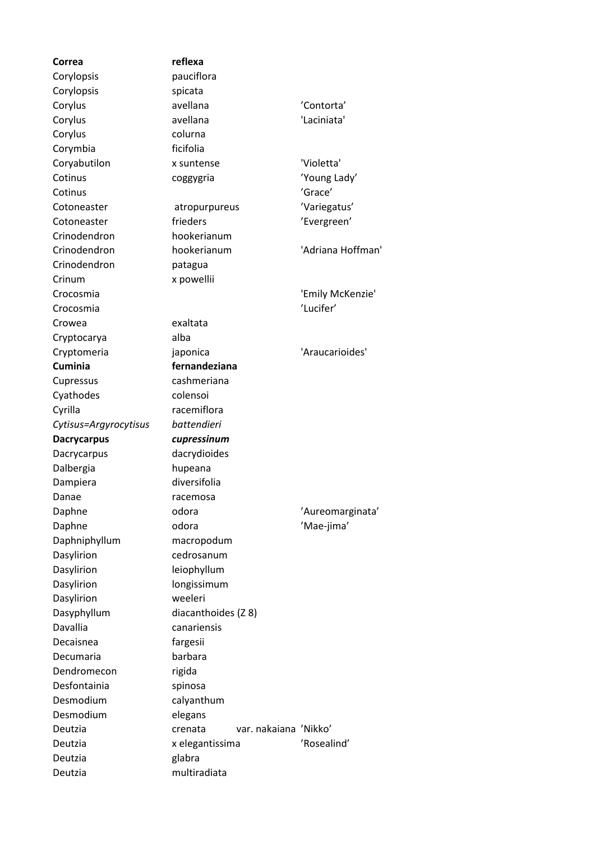| Correa                | reflexa                          |                   |
|-----------------------|----------------------------------|-------------------|
| Corylopsis            | pauciflora                       |                   |
| Corylopsis            | spicata                          |                   |
| Corylus               | avellana                         | 'Contorta'        |
| Corylus               | avellana                         | 'Laciniata'       |
| Corylus               | colurna                          |                   |
| Corymbia              | ficifolia                        |                   |
| Coryabutilon          | x suntense                       | 'Violetta'        |
| Cotinus               | coggygria                        | 'Young Lady'      |
| Cotinus               |                                  | 'Grace'           |
| Cotoneaster           | atropurpureus                    | 'Variegatus'      |
| Cotoneaster           | frieders                         | 'Evergreen'       |
| Crinodendron          | hookerianum                      |                   |
| Crinodendron          | hookerianum                      | 'Adriana Hoffman' |
| Crinodendron          | patagua                          |                   |
| Crinum                | x powellii                       |                   |
| Crocosmia             |                                  | 'Emily McKenzie'  |
| Crocosmia             |                                  | 'Lucifer'         |
| Crowea                | exaltata                         |                   |
| Cryptocarya           | alba                             |                   |
| Cryptomeria           | japonica                         | 'Araucarioides'   |
| <b>Cuminia</b>        | fernandeziana                    |                   |
| Cupressus             | cashmeriana                      |                   |
| Cyathodes             | colensoi                         |                   |
| Cyrilla               | racemiflora                      |                   |
|                       |                                  |                   |
|                       |                                  |                   |
| Cytisus=Argyrocytisus | battendieri                      |                   |
| <b>Dacrycarpus</b>    | cupressinum                      |                   |
| Dacrycarpus           | dacrydioides                     |                   |
| Dalbergia             | hupeana                          |                   |
| Dampiera              | diversifolia                     |                   |
| Danae                 | racemosa                         |                   |
| Daphne                | odora                            | 'Aureomarginata'  |
| Daphne                | odora                            | 'Mae-jima'        |
| Daphniphyllum         | macropodum                       |                   |
| Dasylirion            | cedrosanum                       |                   |
| Dasylirion            | leiophyllum                      |                   |
| Dasylirion            | longissimum                      |                   |
| Dasylirion            | weeleri                          |                   |
| Dasyphyllum           | diacanthoides (Z 8)              |                   |
| Davallia              | canariensis                      |                   |
| Decaisnea             | fargesii                         |                   |
| Decumaria             | barbara                          |                   |
| Dendromecon           | rigida                           |                   |
| Desfontainia          | spinosa                          |                   |
| Desmodium             | calyanthum                       |                   |
| Desmodium             | elegans                          |                   |
| Deutzia               | var. nakaiana 'Nikko'<br>crenata |                   |
| Deutzia               | x elegantissima                  | 'Rosealind'       |
| Deutzia<br>Deutzia    | glabra<br>multiradiata           |                   |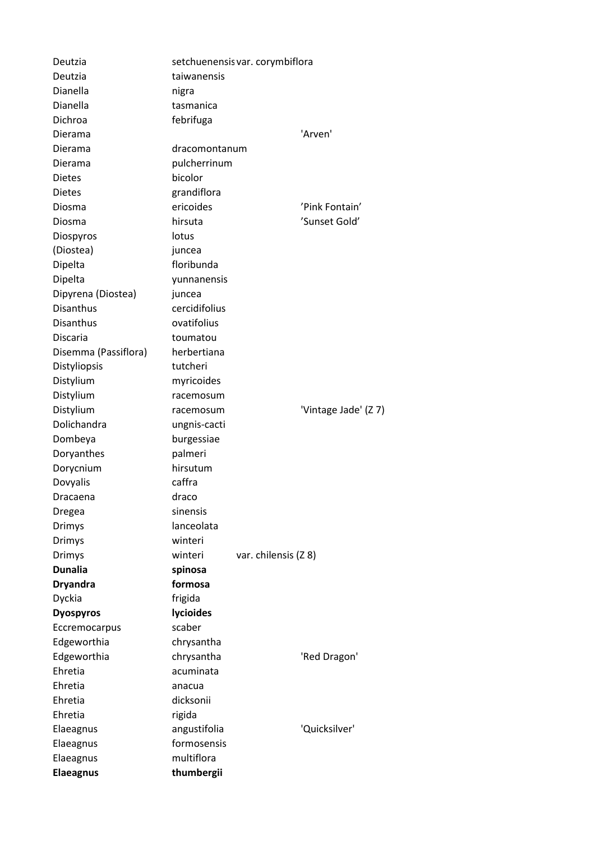| Deutzia              |               | setchuenensis var. corymbiflora |
|----------------------|---------------|---------------------------------|
| Deutzia              | taiwanensis   |                                 |
| Dianella             | nigra         |                                 |
| Dianella             | tasmanica     |                                 |
| Dichroa              | febrifuga     |                                 |
| Dierama              |               | 'Arven'                         |
| Dierama              | dracomontanum |                                 |
| Dierama              | pulcherrinum  |                                 |
| <b>Dietes</b>        | bicolor       |                                 |
| <b>Dietes</b>        | grandiflora   |                                 |
| Diosma               | ericoides     | 'Pink Fontain'                  |
| Diosma               | hirsuta       | 'Sunset Gold'                   |
| Diospyros            | lotus         |                                 |
| (Diostea)            | juncea        |                                 |
| Dipelta              | floribunda    |                                 |
| Dipelta              | yunnanensis   |                                 |
| Dipyrena (Diostea)   | juncea        |                                 |
| <b>Disanthus</b>     | cercidifolius |                                 |
| <b>Disanthus</b>     | ovatifolius   |                                 |
| <b>Discaria</b>      | toumatou      |                                 |
| Disemma (Passiflora) | herbertiana   |                                 |
| Distyliopsis         | tutcheri      |                                 |
| Distylium            | myricoides    |                                 |
| Distylium            | racemosum     |                                 |
| Distylium            | racemosum     | 'Vintage Jade' (Z 7)            |
| Dolichandra          | ungnis-cacti  |                                 |
| Dombeya              | burgessiae    |                                 |
| Doryanthes           | palmeri       |                                 |
| Dorycnium            | hirsutum      |                                 |
| Dovyalis             | caffra        |                                 |
| Dracaena             | draco         |                                 |
| Dregea               | sinensis      |                                 |
| <b>Drimys</b>        | lanceolata    |                                 |
| Drimys               | winteri       |                                 |
| <b>Drimys</b>        | winteri       | var. chilensis (Z 8)            |
| <b>Dunalia</b>       | spinosa       |                                 |
| <b>Dryandra</b>      | formosa       |                                 |
| Dyckia               | frigida       |                                 |
| <b>Dyospyros</b>     | lycioides     |                                 |
| Eccremocarpus        | scaber        |                                 |
| Edgeworthia          | chrysantha    |                                 |
| Edgeworthia          | chrysantha    | 'Red Dragon'                    |
| Ehretia              | acuminata     |                                 |
| Ehretia              | anacua        |                                 |
| Ehretia              | dicksonii     |                                 |
| Ehretia              | rigida        |                                 |
| Elaeagnus            | angustifolia  | 'Quicksilver'                   |
| Elaeagnus            | formosensis   |                                 |
| Elaeagnus            | multiflora    |                                 |
| <b>Elaeagnus</b>     | thumbergii    |                                 |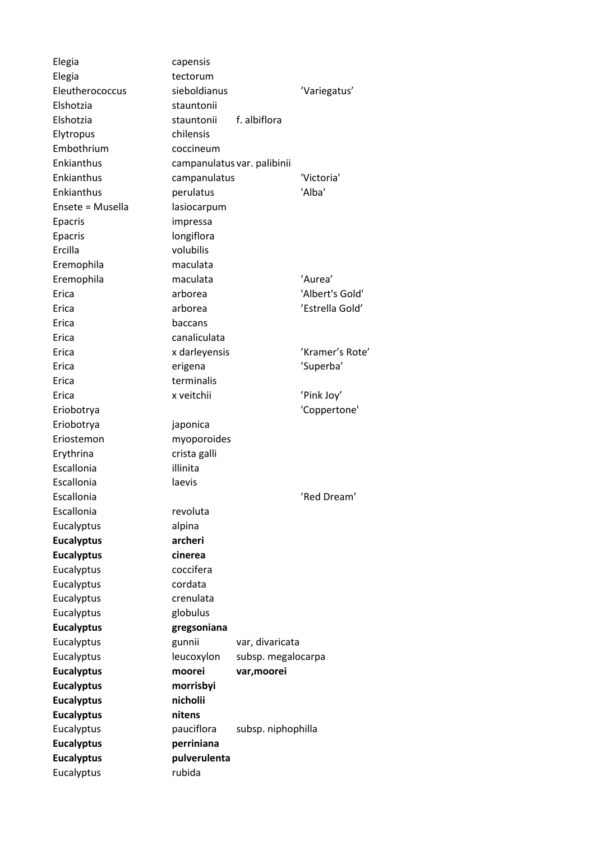| Elegia            | capensis                    |                    |                 |
|-------------------|-----------------------------|--------------------|-----------------|
| Elegia            | tectorum                    |                    |                 |
| Eleutherococcus   | sieboldianus                |                    | 'Variegatus'    |
| Elshotzia         | stauntonii                  |                    |                 |
| Elshotzia         | stauntonii                  | f. albiflora       |                 |
| Elytropus         | chilensis                   |                    |                 |
| Embothrium        | coccineum                   |                    |                 |
| Enkianthus        | campanulatus var. palibinii |                    |                 |
| Enkianthus        | campanulatus                |                    | 'Victoria'      |
| <b>Fnkianthus</b> | perulatus                   |                    | 'Alba'          |
| Ensete = Musella  | lasiocarpum                 |                    |                 |
| Epacris           | impressa                    |                    |                 |
| Epacris           | longiflora                  |                    |                 |
| Ercilla           | volubilis                   |                    |                 |
| Eremophila        | maculata                    |                    |                 |
| Eremophila        | maculata                    |                    | 'Aurea'         |
| Erica             | arborea                     |                    | 'Albert's Gold' |
| <b>Frica</b>      | arborea                     |                    | 'Estrella Gold' |
| Erica             | baccans                     |                    |                 |
| Erica             | canaliculata                |                    |                 |
| Erica             | x darleyensis               |                    | 'Kramer's Rote' |
| Erica             | erigena                     |                    | 'Superba'       |
| Erica             | terminalis                  |                    |                 |
| Erica             | x veitchii                  |                    | 'Pink Joy'      |
| Eriobotrya        |                             |                    | 'Coppertone'    |
| Eriobotrya        | japonica                    |                    |                 |
| Eriostemon        | myoporoides                 |                    |                 |
| Erythrina         | crista galli                |                    |                 |
| Escallonia        | illinita                    |                    |                 |
| Escallonia        | laevis                      |                    |                 |
| Escallonia        |                             |                    | 'Red Dream'     |
| Escallonia        | revoluta                    |                    |                 |
| Eucalyptus        | alpina                      |                    |                 |
| <b>Eucalyptus</b> | archeri                     |                    |                 |
| <b>Eucalyptus</b> | cinerea                     |                    |                 |
| Eucalyptus        | coccifera                   |                    |                 |
| Eucalyptus        | cordata                     |                    |                 |
| Eucalyptus        | crenulata                   |                    |                 |
| Eucalyptus        | globulus                    |                    |                 |
| <b>Eucalyptus</b> | gregsoniana                 |                    |                 |
| Eucalyptus        | gunnii                      | var, divaricata    |                 |
| Eucalyptus        | leucoxylon                  | subsp. megalocarpa |                 |
| <b>Eucalyptus</b> | moorei                      | var, moorei        |                 |
| <b>Eucalyptus</b> | morrisbyi                   |                    |                 |
| <b>Eucalyptus</b> | nicholii                    |                    |                 |
| <b>Eucalyptus</b> | nitens                      |                    |                 |
| Eucalyptus        | pauciflora                  | subsp. niphophilla |                 |
| <b>Eucalyptus</b> | perriniana                  |                    |                 |
| <b>Eucalyptus</b> | pulverulenta                |                    |                 |
| Eucalyptus        | rubida                      |                    |                 |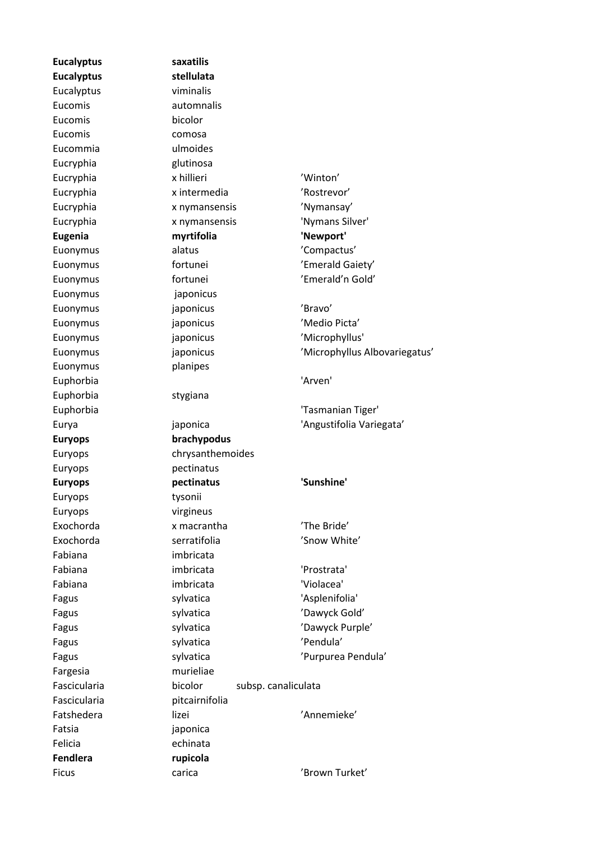**Eucalyptus saxatilis Eucalyptus stellulata** Eucalyptus viminalis Eucomis automnalis Eucomis bicolor Eucomis comosa Eucommia ulmoides Eucryphia glutinosa Euonymus japonicus Euonymus planipes Euphorbia stygiana Euryops pectinatus Euryops tysonii Euryops virgineus Fabiana imbricata Fargesia murieliae Fatsia iaponica Felicia echinata **Fendlera rupicola**

Eucryphia x hillieri 'Winton' Eucryphia x intermedia 'Rostrevor' Eucryphia x nymansensis 'Nymansay' Eucryphia x nymansensis 'Nymans Silver' **Eugenia myrtifolia 'Newport'** Euonymus alatus 'Compactus' Euonymus fortunei 'Emerald Gaiety' Euonymus fortunei 'Emerald'n Gold' Euonymus japonicus 'Bravo' Euonymus japonicus 'Medio Picta' Euonymus japonicus 'Microphyllus' Euonymus japonicus 'Microphyllus Albovariegatus' Euphorbia 'Arven' Euphorbia 'Tasmanian Tiger' Eurya japonica 'Angustifolia Variegata' **Euryops brachypodus** Euryops chrysanthemoides **Euryops pectinatus 'Sunshine'** Exochorda x macrantha 'The Bride' Exochorda serratifolia 'Snow White' Fabiana imbricata 'Prostrata' Fabiana imbricata 'Violacea' Fagus sylvatica 'Asplenifolia' Fagus sylvatica 'Dawyck Gold' Fagus sylvatica 'Dawyck Purple' Fagus sylvatica 'Pendula' Fagus sylvatica 'Purpurea Pendula' Fascicularia bicolor subsp. canaliculata Fascicularia pitcairnifolia Fatshedera lizei lizei 'Annemieke' Ficus carica 'Brown Turket'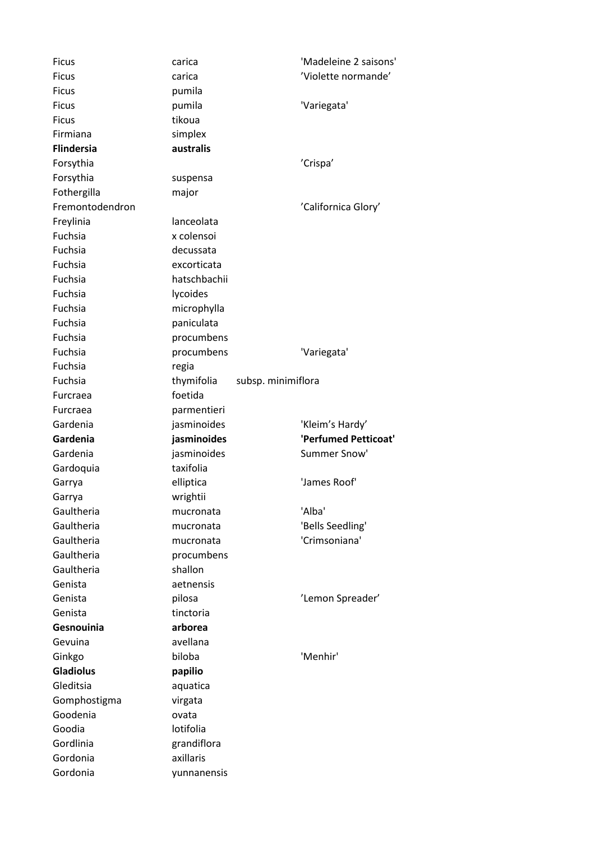| <b>Ficus</b>         | carica                   | 'Madeleine 2 saisons'                   |
|----------------------|--------------------------|-----------------------------------------|
| <b>Ficus</b>         | carica                   | 'Violette normande'                     |
| <b>Ficus</b>         | pumila                   |                                         |
| <b>Ficus</b>         | pumila                   | 'Variegata'                             |
| <b>Ficus</b>         | tikoua                   |                                         |
| Firmiana             | simplex                  |                                         |
| <b>Flindersia</b>    | australis                |                                         |
| Forsythia            |                          | 'Crispa'                                |
| Forsythia            | suspensa                 |                                         |
| Fothergilla          | major                    |                                         |
| Fremontodendron      |                          | 'Californica Glory'                     |
| Freylinia            | lanceolata               |                                         |
| Fuchsia              | x colensoi               |                                         |
| Fuchsia              | decussata                |                                         |
| Fuchsia              | excorticata              |                                         |
| Fuchsia              | hatschbachii             |                                         |
| Fuchsia              | lycoides                 |                                         |
| Fuchsia              | microphylla              |                                         |
| Fuchsia              | paniculata               |                                         |
| <b>Fuchsia</b>       | procumbens               |                                         |
| Fuchsia              | procumbens               | 'Variegata'                             |
| Fuchsia              | regia                    |                                         |
| Fuchsia              | thymifolia               | subsp. minimiflora                      |
| Furcraea             | foetida                  |                                         |
| Furcraea             | parmentieri              |                                         |
|                      |                          |                                         |
| Gardenia             |                          |                                         |
| Gardenia             | jasminoides              | 'Kleim's Hardy'<br>'Perfumed Petticoat' |
| Gardenia             | jasminoides              | Summer Snow'                            |
|                      | jasminoides<br>taxifolia |                                         |
| Gardoquia            |                          | 'James Roof'                            |
| Garrya               | elliptica                |                                         |
| Garrya<br>Gaultheria | wrightii<br>mucronata    | 'Alba'                                  |
| Gaultheria           | mucronata                |                                         |
| Gaultheria           |                          | 'Bells Seedling'<br>'Crimsoniana'       |
| Gaultheria           | mucronata                |                                         |
| Gaultheria           | procumbens<br>shallon    |                                         |
| Genista              | aetnensis                |                                         |
| Genista              |                          |                                         |
|                      | pilosa                   | 'Lemon Spreader'                        |
| Genista              | tinctoria                |                                         |
| Gesnouinia           | arborea                  |                                         |
| Gevuina              | avellana                 |                                         |
| Ginkgo               | biloba                   | 'Menhir'                                |
| <b>Gladiolus</b>     | papilio                  |                                         |
| Gleditsia            | aquatica                 |                                         |
| Gomphostigma         | virgata                  |                                         |
| Goodenia             | ovata                    |                                         |
| Goodia               | lotifolia                |                                         |
| Gordlinia            | grandiflora              |                                         |
| Gordonia<br>Gordonia | axillaris<br>yunnanensis |                                         |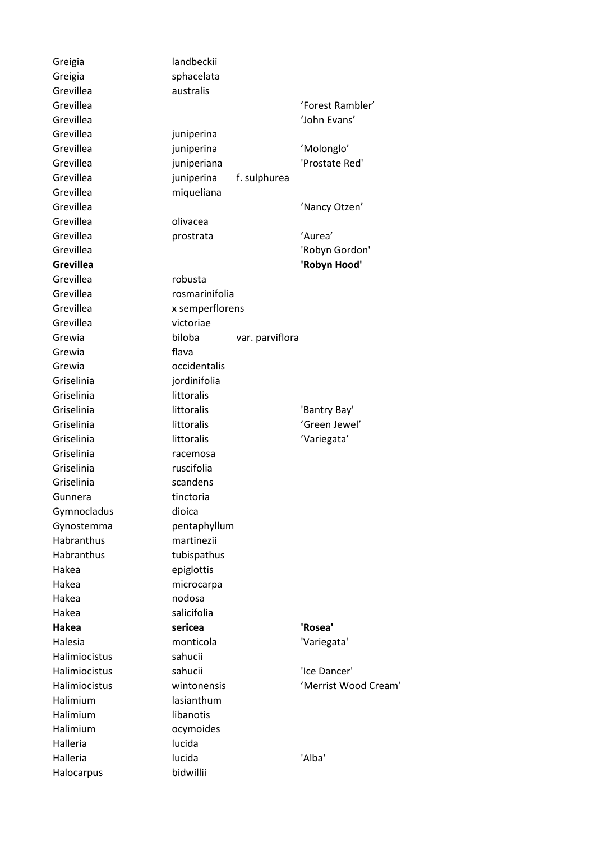Greigia landbeckii Greigia sphacelata Grevillea australis Grevillea juniperina Grevillea miqueliana Grevillea **olivacea** Grevillea robusta Grevillea victoriae Grewia flava Grewia **occidentalis** Griselinia jordinifolia Griselinia littoralis Griselinia racemosa Griselinia ruscifolia Griselinia scandens Gunnera tinctoria Gymnocladus dioica Habranthus martinezii Habranthus tubispathus Hakea epiglottis Hakea microcarpa Hakea nodosa Hakea salicifolia Halimiocistus sahucii Halimium lasianthum Halimium libanotis Halimium ocymoides Halleria lucida Halocarpus bidwillii

Grevillea 'Forest Rambler' Grevillea 'John Evans' Grevillea iuniperina 'Molonglo' Grevillea juniperiana 'Prostate Red' Grevillea juniperina f. sulphurea Grevillea 'Nancy Otzen' Grevillea prostrata 'Aurea' Grevillea 'Robyn Gordon' **Grevillea 'Robyn Hood'** Grevillea rosmarinifolia Grevillea x semperflorens Grewia biloba var. parviflora Griselinia littoralis littoralis 'Bantry Bay' Griselinia littoralis littoralis 'Green Jewel' Griselinia littoralis littoralis 'Variegata' Gynostemma pentaphyllum **Hakea sericea 'Rosea'** Halesia monticola 'Variegata' Halimiocistus sahucii 'Ice Dancer' Halimiocistus wintonensis 'Merrist Wood Cream' Halleria lucida 'Alba'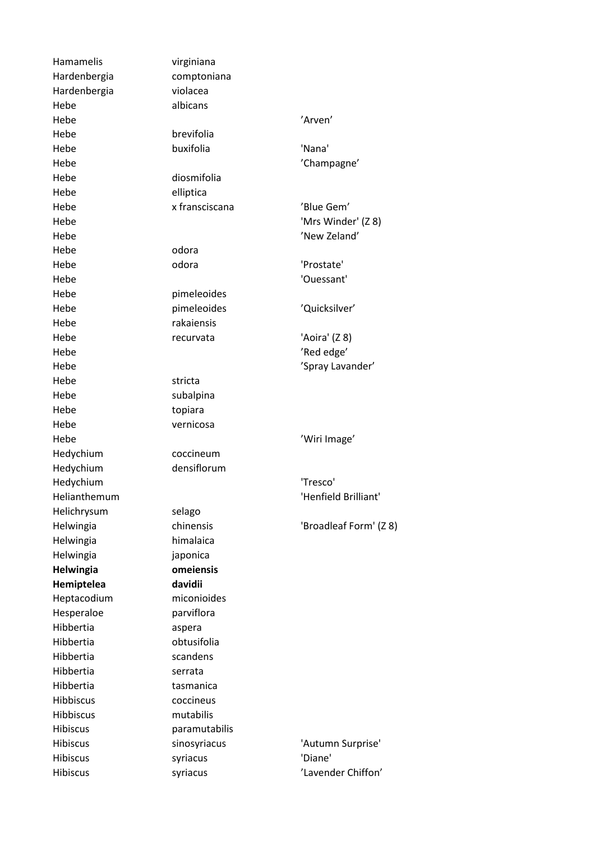Hamamelis virginiana Hardenbergia comptoniana Hardenbergia violacea Hebe albicans Hebe 'Arven' in the settlement of the settlement of the settlement of the settlement of the settlement of the s Hebe **brevifolia** Hebe buxifolia 'Nana' Hebe  $'$ Champagne' Hebe diosmifolia Hebe elliptica Hebe x fransciscana 'Blue Gem' Hebe 'Mrs Winder' (Z 8) Hebe 'New Zeland' Hebe odora Hebe odora 'Prostate' Hebe 'Ouessant' Hebe **pimeleoides** Hebe pimeleoides 'Quicksilver' Hebe rakaiensis Hebe recurvata 'Aoira' (Z 8) Hebe 'Red edge' Hebe 'Spray Lavander' (Spray Lavander' Hebe stricta Hebe subalpina Hebe topiara Hebe vernicosa Hebe 'Wiri Image' Hedychium coccineum Hedychium densiflorum Hedychium 'Tresco' Helianthemum **International Communist Communist Communist Communist Communist Communist Communist Communist Communist Communist Communist Communist Communist Communist Communist Communist Communist Communist Communist Comm** Helichrysum selago Helwingia chinensis 'Broadleaf Form' (Z 8) Helwingia himalaica Helwingia japonica **Helwingia omeiensis Hemiptelea davidii** Heptacodium miconioides Hesperaloe parviflora Hibbertia aspera Hibbertia obtusifolia Hibbertia scandens Hibbertia serrata Hibbertia tasmanica Hibbiscus coccineus Hibbiscus mutabilis Hibiscus paramutabilis Hibiscus sinosyriacus 'Autumn Surprise' Hibiscus syriacus 'Diane' Hibiscus syriacus 'Lavender Chiffon'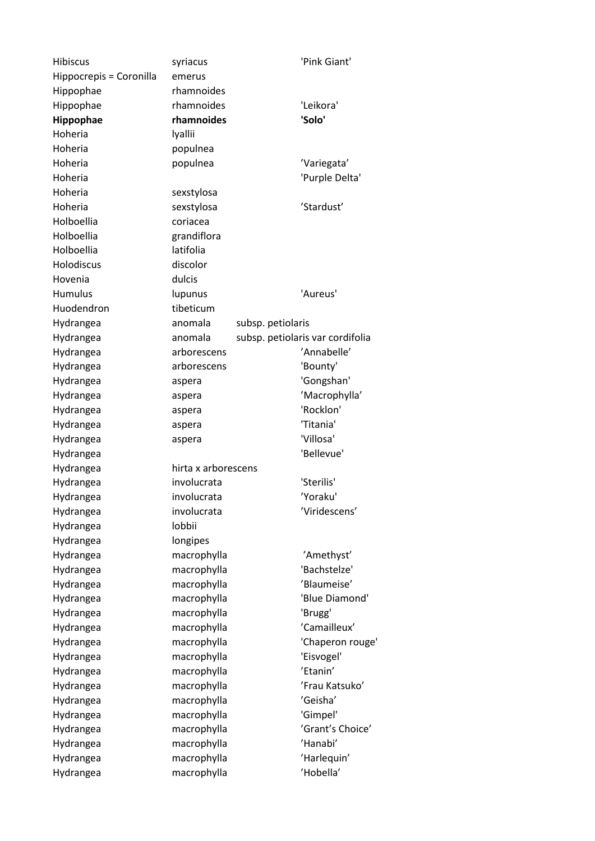Hibiscus syriacus 'Pink Giant' Hippocrepis = Coronilla emerus Hippophae rhamnoides Hippophae rhamnoides 'Leikora' **Hippophae rhamnoides 'Solo'** Hoheria lyallii Hoheria populnea Hoheria populnea 'Variegata' Hoheria 'Purple Delta' Hoheria sexstylosa Hoheria sexstylosa 'Stardust' Holboellia coriacea Holboellia grandiflora Holboellia latifolia Holodiscus discolor Hovenia dulcis Humulus lupunus 'Aureus' Huodendron tibeticum Hydrangea anomala subsp. petiolaris Hydrangea anomala subsp. petiolaris var cordifolia Hydrangea arborescens 'Annabelle' Hydrangea arborescens 'Bounty' Hydrangea aspera 'Gongshan' Hydrangea aspera 'Macrophylla' Hydrangea aspera 'Rocklon' Hydrangea aspera 'Titania' Hydrangea aspera 'Villosa' Hydrangea 'Bellevue' Hydrangea hirta x arborescens Hydrangea involucrata 'Sterilis' Hydrangea involucrata 'Yoraku' Hydrangea involucrata 'Viridescens' Hydrangea lobbii Hydrangea longipes Hydrangea macrophylla 'Amethyst' Hydrangea macrophylla 'Bachstelze' Hydrangea macrophylla 'Blaumeise' Hydrangea macrophylla 'Blue Diamond' Hydrangea macrophylla 'Brugg' Hydrangea macrophylla 'Camailleux' Hydrangea macrophylla 'Chaperon rouge' Hydrangea macrophylla 'Eisvogel' Hydrangea macrophylla 'Etanin' Hydrangea macrophylla 'Frau Katsuko' Hydrangea macrophylla 'Geisha' Hydrangea macrophylla 'Gimpel' Hydrangea macrophylla 'Grant's Choice' Hydrangea macrophylla 'Hanabi' Hydrangea macrophylla 'Harlequin' Hydrangea macrophylla 'Hobella'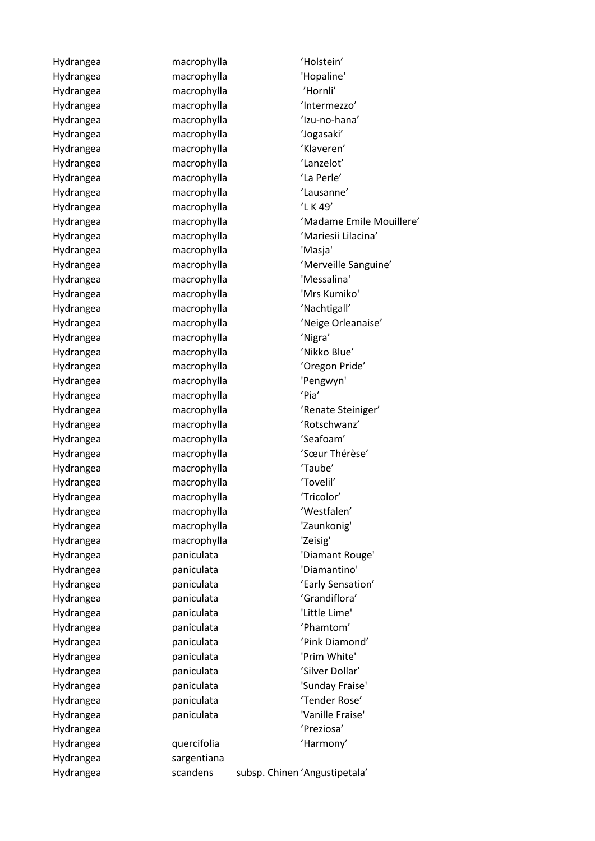Hydrangea sargentiana

Hydrangea macrophylla 'Holstein' Hydrangea macrophylla 'Hopaline' Hydrangea macrophylla 'Hornli' Hydrangea macrophylla 'Intermezzo' Hydrangea macrophylla 'Izu-no-hana' Hydrangea macrophylla 'Jogasaki' Hydrangea macrophylla 'Klaveren' Hydrangea macrophylla 'Lanzelot' Hydrangea macrophylla 'La Perle' Hydrangea macrophylla 'Lausanne' Hydrangea macrophylla 'L K 49' Hydrangea macrophylla 'Masja' Hydrangea macrophylla 'Messalina' Hydrangea macrophylla 'Mrs Kumiko' Hydrangea macrophylla 'Nachtigall' Hydrangea macrophylla 'Nigra' Hydrangea macrophylla 'Nikko Blue' Hydrangea macrophylla 'Oregon Pride' Hydrangea macrophylla 'Pengwyn' Hydrangea macrophylla 'Pia' Hydrangea macrophylla 'Rotschwanz' Hydrangea macrophylla 'Seafoam' Hydrangea macrophylla 'Taube' Hydrangea macrophylla 'Tovelil' Hydrangea macrophylla 'Tricolor' Hydrangea macrophylla 'Westfalen' Hydrangea macrophylla 'Zaunkonig' Hydrangea macrophylla 'Zeisig' Hydrangea paniculata 'Diamantino' Hydrangea paniculata 'Grandiflora' Hydrangea paniculata 'Little Lime' Hydrangea paniculata 'Phamtom' Hydrangea paniculata 'Prim White' Hydrangea **paniculata** 'Silver Dollar' Hydrangea paniculata 'Tender Rose' Hydrangea **paniculata** 'Vanille Fraise' Hydrangea 'Preziosa' Hydrangea quercifolia 'Harmony'

Hydrangea macrophylla 'Madame Emile Mouillere' Hydrangea macrophylla 'Mariesii Lilacina' Hydrangea macrophylla 'Merveille Sanguine' Hydrangea macrophylla 'Neige Orleanaise' Hydrangea macrophylla 'Renate Steiniger' Hydrangea macrophylla 'Sœur Thérèse' Hydrangea paniculata 'Diamant Rouge' Hydrangea paniculata 'Early Sensation' Hydrangea paniculata 'Pink Diamond' Hydrangea **paniculata** 'Sunday Fraise'

Hydrangea scandens subsp. Chinen 'Angustipetala'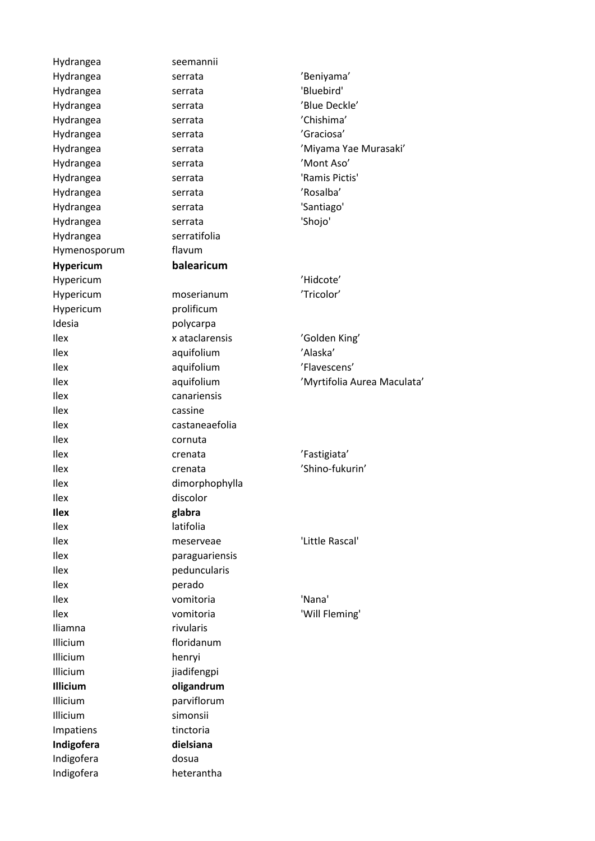Hydrangea seemannii Hydrangea serrata 'Beniyama' Hydrangea serrata 'Bluebird' Hydrangea serrata 'Blue Deckle' Hydrangea serrata 'Chishima' Hydrangea serrata 'Graciosa' Hydrangea serrata 'Mont Aso' Hydrangea serrata 'Ramis Pictis' Hydrangea serrata 'Rosalba' Hydrangea serrata 'Santiago' Hydrangea serrata 'Shojo' Hydrangea serratifolia Hymenosporum flavum **Hypericum balearicum** Hypericum 'Hidcote' Hypericum moserianum 'Tricolor' Hypericum prolificum Idesia **polycarpa** Ilex x ataclarensis 'Golden King' Ilex aquifolium 'Alaska' Ilex aquifolium 'Flavescens' Ilex canariensis Ilex cassine Ilex castaneaefolia Ilex cornuta Ilex crenata 'Fastigiata' Ilex crenata 'Shino-fukurin' Ilex dimorphophylla Ilex discolor **Ilex glabra** Ilex latifolia Ilex meserveae 'Little Rascal' Ilex paraguariensis Ilex peduncularis Ilex perado Ilex vomitoria 'Nana' Ilex vomitoria 'Will Fleming' Iliamna rivularis Illicium floridanum Illicium henryi Illicium jiadifengpi **Illicium oligandrum** Illicium parviflorum Illicium simonsii Impatiens tinctoria **Indigofera dielsiana** Indigofera dosua Indigofera heterantha

Hydrangea serrata 'Miyama Yae Murasaki' Ilex aquifolium 'Myrtifolia Aurea Maculata'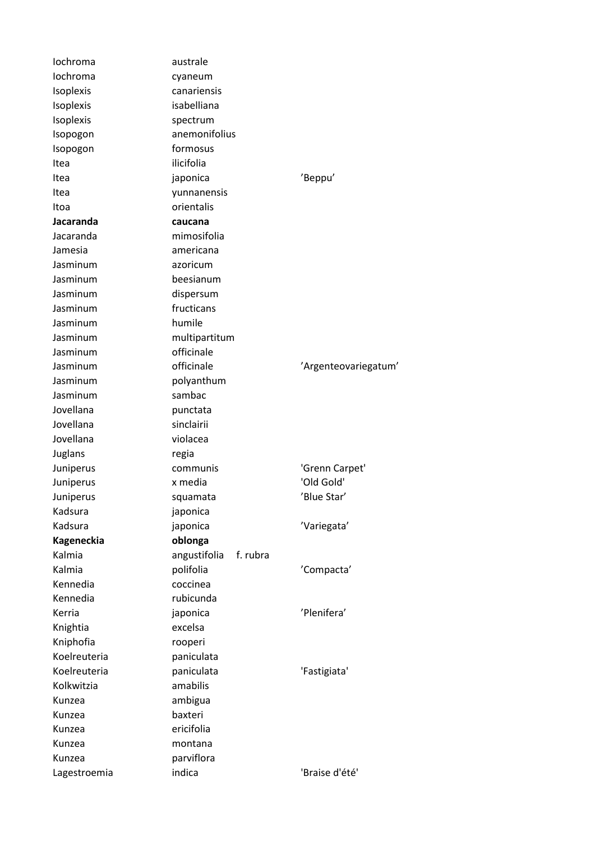| lochroma          | australe                 |                      |
|-------------------|--------------------------|----------------------|
| lochroma          | cyaneum                  |                      |
| Isoplexis         | canariensis              |                      |
| <b>Isoplexis</b>  | isabelliana              |                      |
| Isoplexis         | spectrum                 |                      |
| Isopogon          | anemonifolius            |                      |
| Isopogon          | formosus                 |                      |
| Itea              | ilicifolia               |                      |
| Itea              | japonica                 | 'Beppu'              |
| Itea              | yunnanensis              |                      |
| Itoa              | orientalis               |                      |
| Jacaranda         | caucana                  |                      |
| Jacaranda         | mimosifolia              |                      |
| Jamesia           | americana                |                      |
| Jasminum          | azoricum                 |                      |
| Jasminum          | beesianum                |                      |
| Jasminum          | dispersum                |                      |
| Jasminum          | fructicans               |                      |
| Jasminum          | humile                   |                      |
| Jasminum          | multipartitum            |                      |
| Jasminum          | officinale               |                      |
| Jasminum          | officinale               | 'Argenteovariegatum' |
| Jasminum          | polyanthum               |                      |
| Jasminum          | sambac                   |                      |
| Jovellana         | punctata                 |                      |
| Jovellana         | sinclairii               |                      |
| Jovellana         | violacea                 |                      |
| Juglans           | regia                    |                      |
| Juniperus         | communis                 | 'Grenn Carpet'       |
| Juniperus         | x media                  | 'Old Gold'           |
| Juniperus         | squamata                 | 'Blue Star'          |
| Kadsura           | japonica                 |                      |
| Kadsura           | japonica                 | 'Variegata'          |
| <b>Kageneckia</b> | oblonga                  |                      |
| Kalmia            | f. rubra<br>angustifolia |                      |
| Kalmia            | polifolia                | 'Compacta'           |
| Kennedia          | coccinea                 |                      |
| Kennedia          | rubicunda                |                      |
| Kerria            | japonica                 | 'Plenifera'          |
| Knightia          | excelsa                  |                      |
| Kniphofia         | rooperi                  |                      |
| Koelreuteria      | paniculata               |                      |
| Koelreuteria      | paniculata               | 'Fastigiata'         |
| Kolkwitzia        | amabilis                 |                      |
| Kunzea            | ambigua                  |                      |
| Kunzea            | baxteri                  |                      |
| Kunzea            | ericifolia               |                      |
| Kunzea            | montana                  |                      |
| Kunzea            | parviflora               |                      |
| Lagestroemia      | indica                   | 'Braise d'été'       |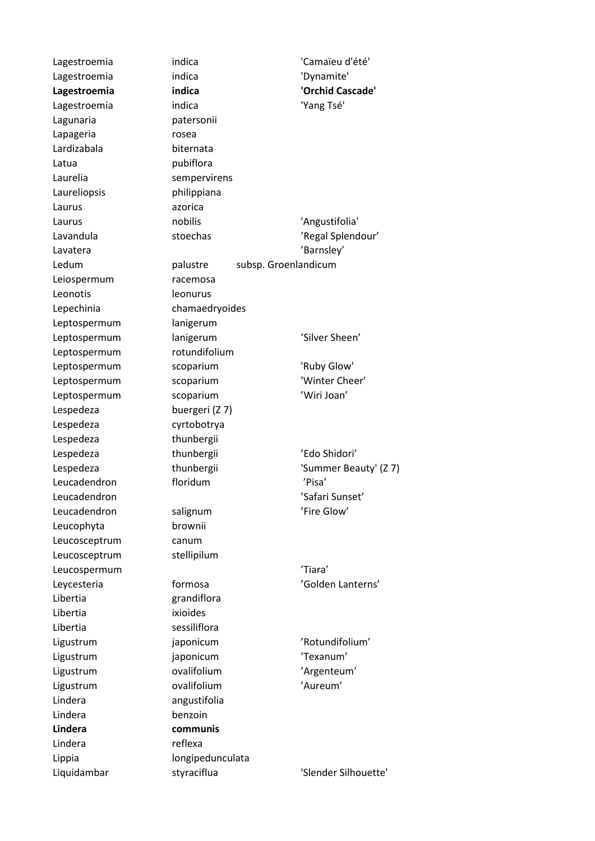Lagunaria patersonii Lapageria rosea Lardizabala biternata Latua **pubiflora** Laurelia sempervirens Laureliopsis philippiana Laurus azorica Leiospermum racemosa Leonotis leonurus Lepechinia chamaedryoides Leptospermum lanigerum Leptospermum rotundifolium Lespedeza buergeri (Z 7) Lespedeza cyrtobotrya Lespedeza thunbergii Leucophyta brownii Leucosceptrum canum Leucosceptrum stellipilum Libertia grandiflora Libertia ixioides Libertia sessiliflora Lindera angustifolia Lindera benzoin **Lindera communis** Lindera reflexa Lippia longipedunculata

Lagestroemia indica 'Camaïeu d'été' Lagestroemia indica 'Dynamite' **Lagestroemia indica 'Orchid Cascade'** Lagestroemia indica 'Yang Tsé' Laurus nobilis <sup>nobilis</sup> 'Angustifolia' Lavandula stoechas 'Regal Splendour' Lavatera 'Barnsley' Ledum palustre subsp. Groenlandicum Leptospermum lanigerum 'Silver Sheen' Leptospermum scoparium 'Ruby Glow' Leptospermum scoparium 'Winter Cheer' Leptospermum scoparium 'Wiri Joan' Lespedeza thunbergii 'Edo Shidori' Lespedeza thunbergii 'Summer Beauty' (Z 7) Leucadendron floridum 'Pisa' Leucadendron 'Safari Sunset' Leucadendron salignum <a>
salignum<br/>
Salignum <a>
'Fire Glow'</a>
'Fire Glow' Leucospermum 'Tiara' Leycesteria formosa 'Golden Lanterns' Ligustrum iaponicum 'Rotundifolium' Ligustrum japonicum 'Texanum' Ligustrum ovalifolium <a>
valifolium <a>
valifolium <a>
valifolium <a>
valifolium <a>
valifolium <a>
valifolium <a>
valifolium <a>
valifolium <a>
valifolium <a>
valifolium <a>
valifolium <a>
valifolium <a>
valifolium <a>
v Ligustrum ovalifolium 'Aureum' Liquidambar styraciflua 'Slender Silhouette'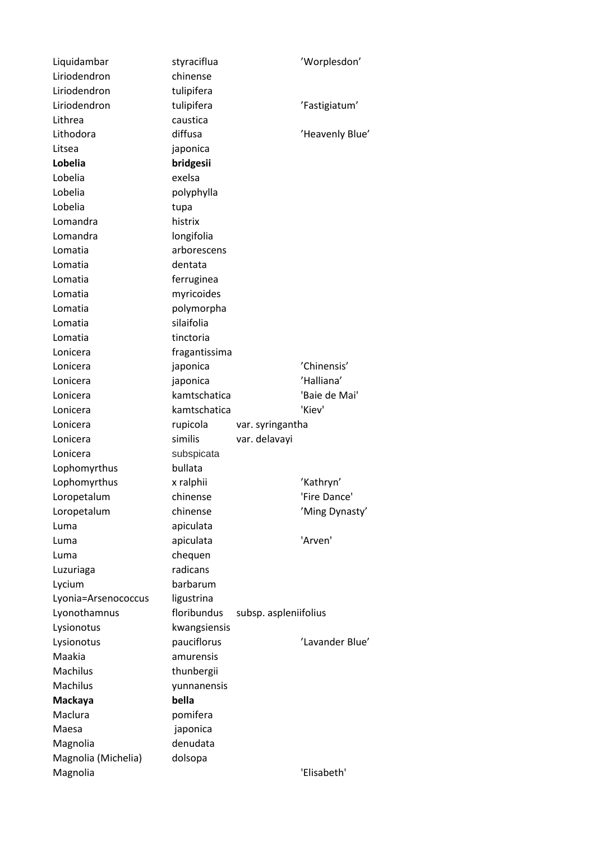| Liquidambar                     | styraciflua         |                       | 'Worplesdon'    |
|---------------------------------|---------------------|-----------------------|-----------------|
| Liriodendron                    | chinense            |                       |                 |
| Liriodendron                    | tulipifera          |                       |                 |
| Liriodendron                    | tulipifera          |                       | 'Fastigiatum'   |
| Lithrea                         | caustica            |                       |                 |
| Lithodora                       | diffusa             |                       | 'Heavenly Blue' |
| Litsea                          | japonica            |                       |                 |
| Lobelia                         | bridgesii           |                       |                 |
| Lobelia                         | exelsa              |                       |                 |
| Lobelia                         | polyphylla          |                       |                 |
| Lobelia                         | tupa                |                       |                 |
| Lomandra                        | histrix             |                       |                 |
| Lomandra                        | longifolia          |                       |                 |
| Lomatia                         | arborescens         |                       |                 |
| Lomatia                         | dentata             |                       |                 |
| Lomatia                         | ferruginea          |                       |                 |
| Lomatia                         | myricoides          |                       |                 |
| Lomatia                         | polymorpha          |                       |                 |
| Lomatia                         | silaifolia          |                       |                 |
| Lomatia                         | tinctoria           |                       |                 |
| Lonicera                        | fragantissima       |                       |                 |
| Lonicera                        | japonica            |                       | 'Chinensis'     |
| Lonicera                        | japonica            |                       | 'Halliana'      |
| Lonicera                        | kamtschatica        |                       | 'Baie de Mai'   |
| Lonicera                        | kamtschatica        |                       | 'Kiev'          |
|                                 |                     |                       |                 |
|                                 |                     |                       |                 |
| Lonicera                        | rupicola<br>similis | var. syringantha      |                 |
| Lonicera                        |                     | var. delavayi         |                 |
| Lonicera                        | subspicata          |                       |                 |
| Lophomyrthus                    | bullata             |                       |                 |
| Lophomyrthus                    | x ralphii           |                       | 'Kathryn'       |
| Loropetalum                     | chinense            |                       | 'Fire Dance'    |
| Loropetalum                     | chinense            |                       | 'Ming Dynasty'  |
| Luma                            | apiculata           |                       |                 |
| Luma                            | apiculata           |                       | 'Arven'         |
| Luma                            | chequen             |                       |                 |
| Luzuriaga                       | radicans            |                       |                 |
| Lycium                          | barbarum            |                       |                 |
| Lyonia=Arsenococcus             | ligustrina          |                       |                 |
| Lyonothamnus                    | floribundus         | subsp. aspleniifolius |                 |
| Lysionotus                      | kwangsiensis        |                       |                 |
| Lysionotus                      | pauciflorus         |                       | 'Lavander Blue' |
| Maakia                          | amurensis           |                       |                 |
| <b>Machilus</b>                 | thunbergii          |                       |                 |
| <b>Machilus</b>                 | yunnanensis         |                       |                 |
| Mackaya                         | bella               |                       |                 |
| Maclura                         | pomifera            |                       |                 |
| Maesa                           | japonica            |                       |                 |
| Magnolia                        | denudata            |                       |                 |
| Magnolia (Michelia)<br>Magnolia | dolsopa             |                       | 'Elisabeth'     |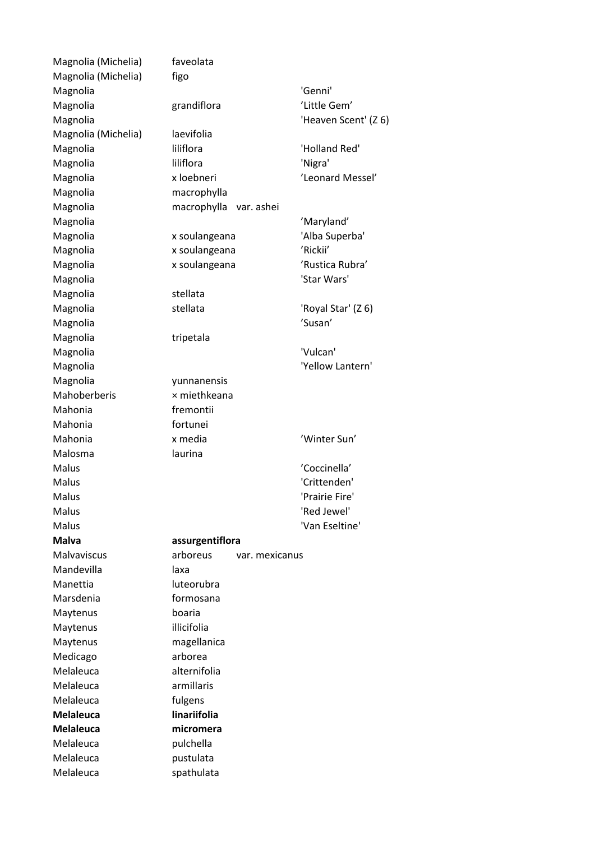Magnolia (Michelia) faveolata Magnolia (Michelia) figo Magnolia 'Genni' Magnolia grandiflora 'Little Gem' Magnolia <sup>'Heaven</sup> Scent' (Z 6) Magnolia (Michelia) laevifolia Magnolia liliflora 'Holland Red' Magnolia **iliflora** liliflora 'Nigra' Magnolia  $x$  loebneri 'Leonard Messel' Magnolia macrophylla Magnolia macrophylla var. ashei Magnolia 'Maryland' Magnolia x soulangeana 'Alba Superba' Magnolia x soulangeana 'Rickii' Magnolia  $x$  soulangeana 'Rustica Rubra' Magnolia 'Star Wars' Magnolia stellata Magnolia stellata 'Royal Star' (Z 6) Magnolia 'Susan' 'Susan' 'Susan' 'Susan' 'Susan' 'Susan' 'Susan' 'Susan' 'Susan' 'Susan' 'Susan' 'Susan' 'Susan' 'Susan' 'Susan' 'Susan' 'Susan' 'Susan' 'Susan' 'Susan' 'Susan' 'Susan' 'Susan' 'Susan' 'Susan' 'Susan' 'Susa Magnolia tripetala Magnolia 'Vulcan' Magnolia 'Yellow Lantern' Magnolia yunnanensis Mahoberberis **x** miethkeana Mahonia fremontii Mahonia fortunei Mahonia x media 'Winter Sun' Malosma laurina Malus 'Coccinella' Malus 'Crittenden' Malus 'Prairie Fire' Malus 'Red Jewel' Malus 'Van Eseltine' **Malva assurgentiflora** Malvaviscus arboreus var. mexicanus Mandevilla laxa Manettia luteorubra Marsdenia **formosana** Maytenus boaria Maytenus illicifolia Maytenus magellanica Medicago arborea Melaleuca alternifolia Melaleuca armillaris Melaleuca fulgens **Melaleuca linariifolia Melaleuca micromera** Melaleuca pulchella Melaleuca pustulata Melaleuca spathulata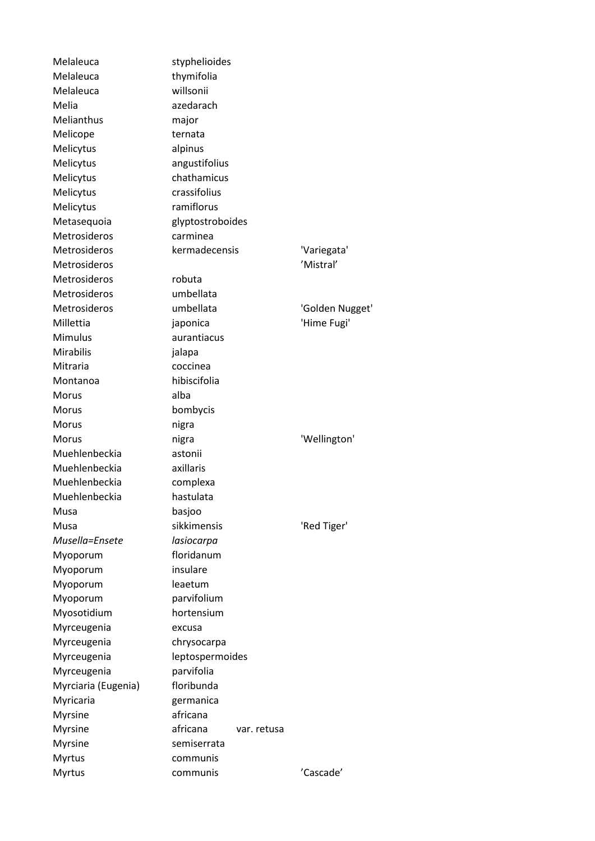Melaleuca styphelioides Melaleuca thymifolia Melaleuca willsonii Melia azedarach Melianthus major Melicope ternata Melicytus alpinus Melicytus angustifolius Melicytus chathamicus Melicytus crassifolius Melicytus ramiflorus Metasequoia glyptostroboides Metrosideros carminea Metrosideros kermadecensis 'Variegata' Metrosideros 'Mistral' Metrosideros robuta Metrosideros umbellata Metrosideros **mbellata** 'Golden Nugget' Millettia japonica 'Hime Fugi' Mimulus aurantiacus Mirabilis jalapa Mitraria coccinea Montanoa hibiscifolia Morus alba Morus bombycis Morus nigra Morus nigra 'Wellington' Muehlenbeckia astonii Muehlenbeckia axillaris Muehlenbeckia complexa Muehlenbeckia hastulata Musa basjoo Musa sikkimensis 'Red Tiger' *Musella=Ensete lasiocarpa* Myoporum floridanum Myoporum insulare Myoporum leaetum Myoporum parvifolium Myosotidium hortensium Myrceugenia excusa Myrceugenia chrysocarpa Myrceugenia leptospermoides Myrceugenia parvifolia Myrciaria (Eugenia) floribunda Myricaria germanica Myrsine africana Myrsine africana var. retusa Myrsine semiserrata Myrtus communis Myrtus communis 'Cascade'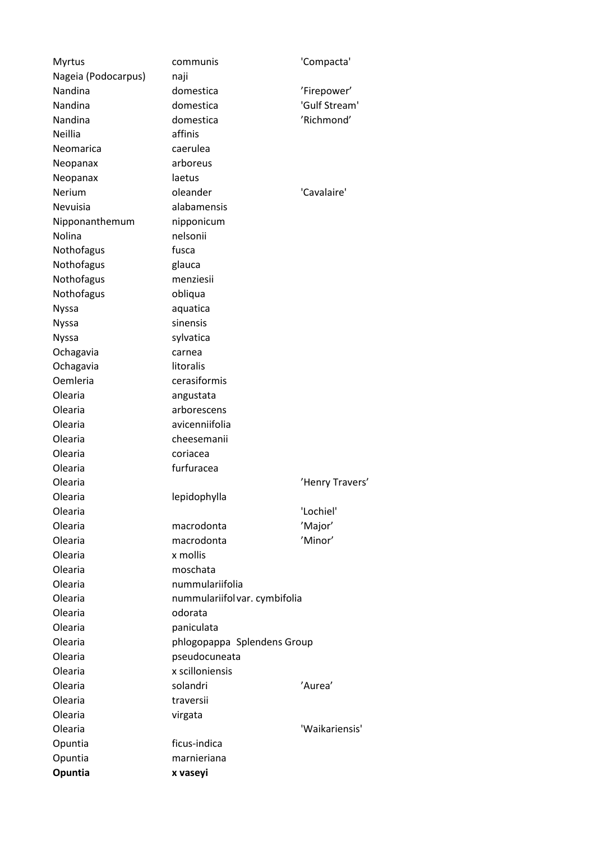| <b>Myrtus</b>       | communis                      | 'Compacta'      |
|---------------------|-------------------------------|-----------------|
| Nageia (Podocarpus) | naji                          |                 |
| Nandina             | domestica                     | 'Firepower'     |
| Nandina             | domestica                     | 'Gulf Stream'   |
| Nandina             | domestica                     | 'Richmond'      |
| Neillia             | affinis                       |                 |
| Neomarica           | caerulea                      |                 |
| Neopanax            | arboreus                      |                 |
| Neopanax            | laetus                        |                 |
| Nerium              | oleander                      | 'Cavalaire'     |
| Nevuisia            | alabamensis                   |                 |
| Nipponanthemum      | nipponicum                    |                 |
| Nolina              | nelsonii                      |                 |
| Nothofagus          | fusca                         |                 |
| Nothofagus          | glauca                        |                 |
| Nothofagus          | menziesii                     |                 |
| Nothofagus          | obliqua                       |                 |
| <b>Nyssa</b>        | aquatica                      |                 |
| <b>Nyssa</b>        | sinensis                      |                 |
| <b>Nyssa</b>        | sylvatica                     |                 |
| Ochagavia           | carnea                        |                 |
| Ochagavia           | litoralis                     |                 |
| Oemleria            | cerasiformis                  |                 |
| Olearia             | angustata                     |                 |
| Olearia             | arborescens                   |                 |
| Olearia             | avicenniifolia                |                 |
| Olearia             | cheesemanii                   |                 |
| Olearia             | coriacea                      |                 |
| Olearia             | furfuracea                    |                 |
| Olearia             |                               | 'Henry Travers' |
| Olearia             | lepidophylla                  |                 |
| Olearia             |                               | 'Lochiel'       |
| Olearia             | macrodonta                    | 'Major'         |
| Olearia             | macrodonta                    | 'Minor'         |
| Olearia             | x mollis                      |                 |
| Olearia             | moschata                      |                 |
| Olearia             | nummulariifolia               |                 |
| Olearia             | nummulariifol var. cymbifolia |                 |
| Olearia             | odorata                       |                 |
| Olearia             | paniculata                    |                 |
| Olearia             | phlogopappa Splendens Group   |                 |
| Olearia             | pseudocuneata                 |                 |
| Olearia             | x scilloniensis               |                 |
| Olearia             | solandri                      | 'Aurea'         |
| Olearia             | traversii                     |                 |
| Olearia             | virgata                       |                 |
| Olearia             |                               | 'Waikariensis'  |
| Opuntia             | ficus-indica                  |                 |
| Opuntia             | marnieriana                   |                 |
| Opuntia             | x vaseyi                      |                 |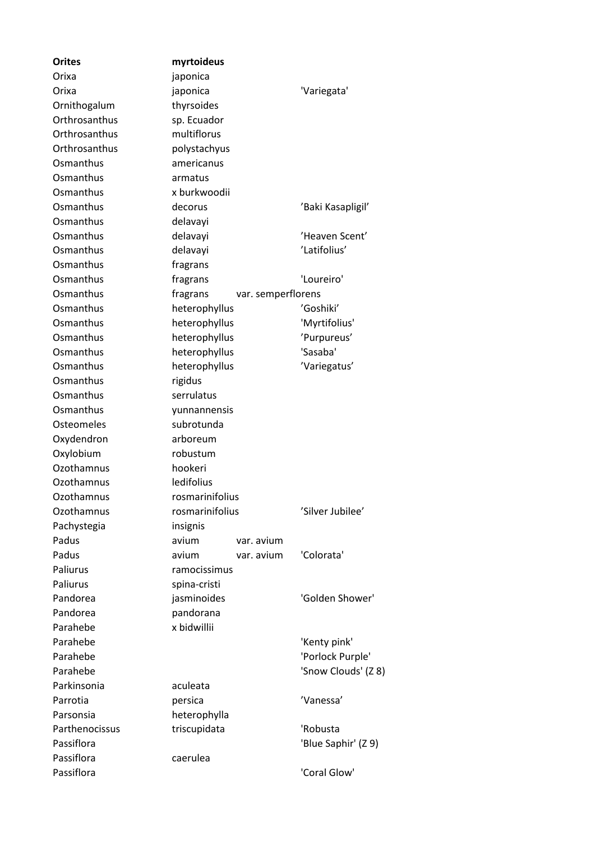| <b>Orites</b>     | myrtoideus                     |                     |
|-------------------|--------------------------------|---------------------|
| Orixa             | japonica                       |                     |
| Orixa             | japonica                       | 'Variegata'         |
| Ornithogalum      | thyrsoides                     |                     |
| Orthrosanthus     | sp. Ecuador                    |                     |
| Orthrosanthus     | multiflorus                    |                     |
| Orthrosanthus     | polystachyus                   |                     |
| Osmanthus         | americanus                     |                     |
| Osmanthus         | armatus                        |                     |
| Osmanthus         | x burkwoodii                   |                     |
| Osmanthus         | decorus                        | 'Baki Kasapligil'   |
| Osmanthus         | delavayi                       |                     |
| Osmanthus         | delavayi                       | 'Heaven Scent'      |
| Osmanthus         | delavayi                       | 'Latifolius'        |
| Osmanthus         | fragrans                       |                     |
| Osmanthus         | fragrans                       | 'Loureiro'          |
| Osmanthus         | fragrans<br>var. semperflorens |                     |
| Osmanthus         | heterophyllus                  | 'Goshiki'           |
| Osmanthus         | heterophyllus                  | 'Myrtifolius'       |
| Osmanthus         | heterophyllus                  | 'Purpureus'         |
| Osmanthus         | heterophyllus                  | 'Sasaba'            |
| Osmanthus         | heterophyllus                  | 'Variegatus'        |
| Osmanthus         | rigidus                        |                     |
| Osmanthus         | serrulatus                     |                     |
| Osmanthus         | yunnannensis                   |                     |
| <b>Osteomeles</b> | subrotunda                     |                     |
| Oxydendron        | arboreum                       |                     |
| Oxylobium         | robustum                       |                     |
| Ozothamnus        | hookeri                        |                     |
| Ozothamnus        | ledifolius                     |                     |
| Ozothamnus        | rosmarinifolius                |                     |
| Ozothamnus        | rosmarinifolius                | 'Silver Jubilee'    |
| Pachystegia       | insignis                       |                     |
| Padus             | avium<br>var. avium            |                     |
| Padus             | avium<br>var. avium            | 'Colorata'          |
| Paliurus          | ramocissimus                   |                     |
| Paliurus          | spina-cristi                   |                     |
| Pandorea          | jasminoides                    | 'Golden Shower'     |
| Pandorea          | pandorana                      |                     |
| Parahebe          | x bidwillii                    |                     |
| Parahebe          |                                | 'Kenty pink'        |
| Parahebe          |                                | 'Porlock Purple'    |
| Parahebe          |                                | 'Snow Clouds' (Z 8) |
| Parkinsonia       | aculeata                       |                     |
| Parrotia          | persica                        | 'Vanessa'           |
| Parsonsia         | heterophylla                   |                     |
| Parthenocissus    | triscupidata                   | 'Robusta            |
| Passiflora        |                                | 'Blue Saphir' (Z 9) |
| Passiflora        | caerulea                       |                     |
| Passiflora        |                                | 'Coral Glow'        |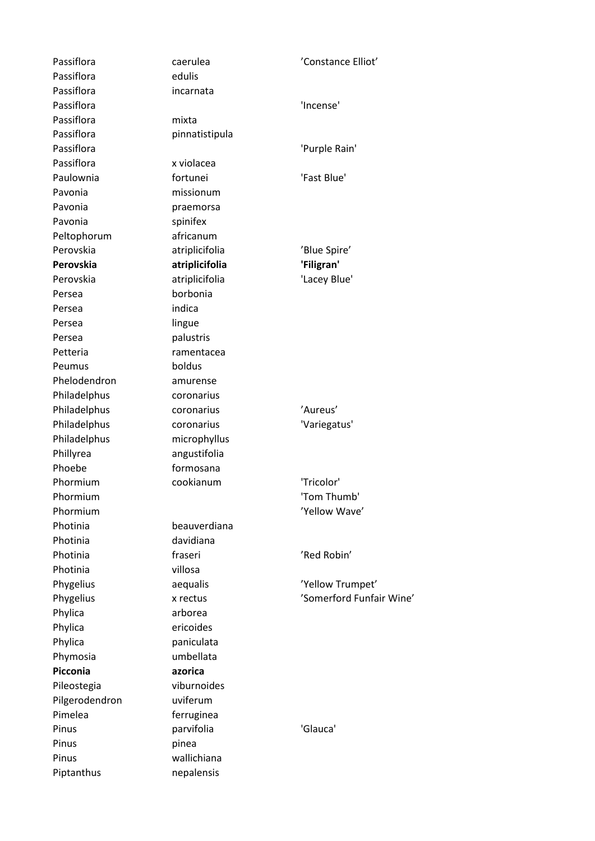Passiflora edulis Passiflora incarnata Passiflora mixta Passiflora x violacea Pavonia missionum Pavonia **praemorsa** Pavonia spinifex Peltophorum africanum Persea borbonia Persea indica Persea lingue Persea palustris Peumus boldus Phelodendron amurense Philadelphus coronarius Phoebe formosana Photinia davidiana Photinia villosa Phylica arborea Phylica ericoides Phylica paniculata Phymosia umbellata **Picconia azorica** Pilgerodendron uviferum Pimelea **ferruginea** Pinus pinea Pinus wallichiana Piptanthus nepalensis

Passiflora caerulea 'Constance Elliot' Passiflora 'Incense' Passiflora pinnatistipula Passiflora **'Purple Rain'** Passiflora Paulownia fortunei 'Fast Blue' Perovskia **atriplicifolia** 'Blue Spire' **Perovskia atriplicifolia 'Filigran'** Perovskia atriplicifolia 'Lacey Blue' Petteria ramentacea Philadelphus coronarius 'Aureus' Philadelphus coronarius 'Variegatus' Philadelphus microphyllus Phillyrea angustifolia Phormium cookianum 'Tricolor' Phormium **'Tom Thumb'** Phormium  $'$ Yellow Wave' Photinia beauverdiana Photinia **intervalse fraseri** and the contract of the contract of the contract of the fraseri and the contract of the contract of the contract of the contract of the contract of the contract of the contract of the contract Phygelius aequalis 'Yellow Trumpet' Phygelius x rectus 'Somerford Funfair Wine' Pileostegia viburnoides Pinus **parvifolia Pinus 'Glauca'**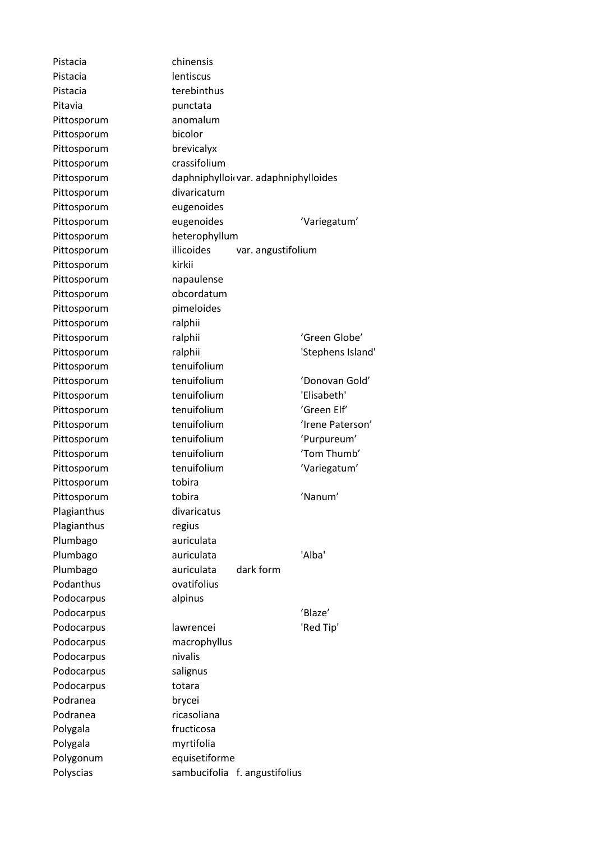Pistacia chinensis Pistacia lentiscus Pistacia **terebinthus** Pitavia **punctata** Pittosporum anomalum Pittosporum bicolor Pittosporum brevicalyx Pittosporum crassifolium Pittosporum divaricatum Pittosporum eugenoides Pittosporum heterophyllum Pittosporum kirkii Pittosporum napaulense Pittosporum obcordatum Pittosporum pimeloides Pittosporum ralphii Pittosporum tenuifolium Pittosporum tobira Plagianthus divaricatus Plagianthus regius Plumbago auriculata Podanthus ovatifolius Podocarpus alpinus Podocarpus macrophyllus Podocarpus nivalis Podocarpus salignus Podocarpus totara Podranea brycei Podranea ricasoliana Polygala fructicosa Polygala myrtifolia Polygonum equisetiforme

Pittosporum daphniphylloi var. adaphniphylloides Pittosporum eugenoides 'Variegatum' Pittosporum illicoides var. angustifolium Pittosporum ralphii 'Green Globe' Pittosporum ralphii 'Stephens Island' Pittosporum tenuifolium 'Donovan Gold' Pittosporum tenuifolium 'Elisabeth' Pittosporum tenuifolium 'Green Elf' Pittosporum tenuifolium 'Irene Paterson' Pittosporum tenuifolium 'Purpureum' Pittosporum tenuifolium 'Tom Thumb' Pittosporum tenuifolium 'Variegatum' Pittosporum tobira 'Nanum' Plumbago auriculata 'Alba' Plumbago auriculata dark form Podocarpus 'Blaze' Podocarpus lawrencei 'Red Tip' Polyscias sambucifolia f. angustifolius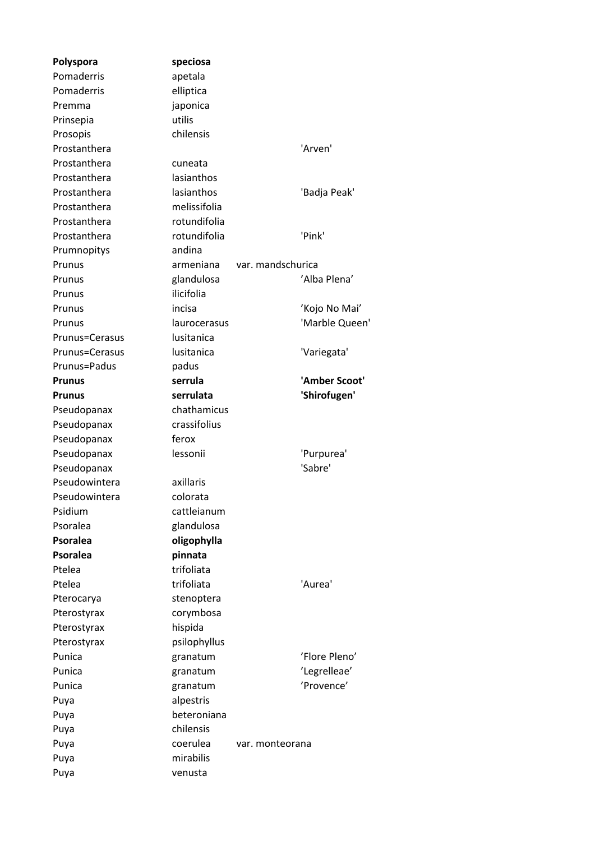**Polyspora speciosa** Pomaderris apetala Pomaderris elliptica Premma iaponica Prinsepia utilis Prosopis chilensis Prostanthera  $'$ Arven's  $'$ Arven's  $'$ Arven's  $'$ Arven's  $'$ Arven's  $'$ Arven's  $'$ Arven's  $'$ Arven's  $'$ Arven's  $'$ Arven's  $'$ Arven's  $'$ Prostanthera cuneata Prostanthera lasianthos Prostanthera lasianthos 'Badja Peak' Prostanthera melissifolia Prostanthera rotundifolia Prostanthera rotundifolia 'Pink' Prumnopitys andina Prunus armeniana var. mandschurica Prunus glandulosa 'Alba Plena' Prunus ilicifolia Prunus incisa 'Kojo No Mai' Prunus laurocerasus 'Marble Queen' Prunus=Cerasus lusitanica Prunus=Cerasus lusitanica 'Variegata' Prunus=Padus padus **Prunus serrula 'Amber Scoot' Prunus serrulata 'Shirofugen'** Pseudopanax chathamicus Pseudopanax crassifolius Pseudopanax ferox Pseudopanax lessonii 'Purpurea' Pseudopanax 
and the set of the set of the set of the set of the set of the set of the set of the set of the set of the set of the set of the set of the set of the set of the set of the set of the set of the set of the set Pseudowintera axillaris Pseudowintera colorata Psidium cattleianum Psoralea glandulosa **Psoralea oligophylla** Psoralea **pinnata** Ptelea trifoliata Ptelea **trifoliata** trifoliata 'Aurea' Pterocarya stenoptera Pterostyrax corymbosa Pterostyrax hispida Pterostyrax psilophyllus Punica **granatum example 12 Service 2018** Punica **granatum** (Punica et al., 2014) Punica **granatum** 'Provence' Puya alpestris Puya beteroniana Puya chilensis Puya coerulea var. monteorana Puya mirabilis Puya venusta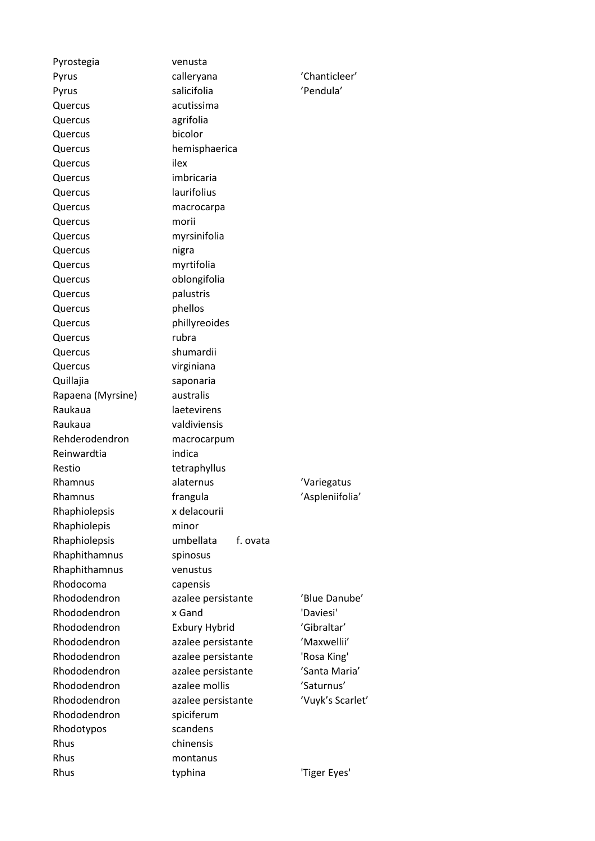| Pyrostegia        | venusta               |                  |
|-------------------|-----------------------|------------------|
| Pyrus             | calleryana            | 'Chanticleer'    |
| Pyrus             | salicifolia           | 'Pendula'        |
| Quercus           | acutissima            |                  |
| Quercus           | agrifolia             |                  |
| Quercus           | bicolor               |                  |
| Quercus           | hemisphaerica         |                  |
| Quercus           | ilex                  |                  |
| Quercus           | imbricaria            |                  |
| Quercus           | laurifolius           |                  |
| Quercus           | macrocarpa            |                  |
| Quercus           | morii                 |                  |
| Quercus           | myrsinifolia          |                  |
| Quercus           | nigra                 |                  |
| Quercus           | myrtifolia            |                  |
| Quercus           | oblongifolia          |                  |
| Quercus           | palustris             |                  |
| Quercus           | phellos               |                  |
| Quercus           | phillyreoides         |                  |
| Quercus           | rubra                 |                  |
| Quercus           | shumardii             |                  |
| Quercus           | virginiana            |                  |
| Quillajia         | saponaria             |                  |
| Rapaena (Myrsine) | australis             |                  |
| Raukaua           | laetevirens           |                  |
| Raukaua           | valdiviensis          |                  |
| Rehderodendron    | macrocarpum           |                  |
| Reinwardtia       | indica                |                  |
| Restio            | tetraphyllus          |                  |
| Rhamnus           | alaternus             | 'Variegatus      |
| Rhamnus           | frangula              | 'Aspleniifolia'  |
| Rhaphiolepsis     | x delacourii          |                  |
| Rhaphiolepis      | minor                 |                  |
| Rhaphiolepsis     | umbellata<br>f. ovata |                  |
| Rhaphithamnus     | spinosus              |                  |
| Rhaphithamnus     | venustus              |                  |
| Rhodocoma         | capensis              |                  |
| Rhododendron      | azalee persistante    | 'Blue Danube'    |
| Rhododendron      | x Gand                | 'Daviesi'        |
| Rhododendron      | <b>Exbury Hybrid</b>  | 'Gibraltar'      |
| Rhododendron      | azalee persistante    | 'Maxwellii'      |
| Rhododendron      | azalee persistante    | 'Rosa King'      |
| Rhododendron      | azalee persistante    | 'Santa Maria'    |
| Rhododendron      | azalee mollis         | 'Saturnus'       |
| Rhododendron      | azalee persistante    | 'Vuyk's Scarlet' |
| Rhododendron      | spiciferum            |                  |
| Rhodotypos        | scandens              |                  |
| Rhus              | chinensis             |                  |
| Rhus              | montanus              |                  |
| Rhus              | typhina               | 'Tiger Eyes'     |
|                   |                       |                  |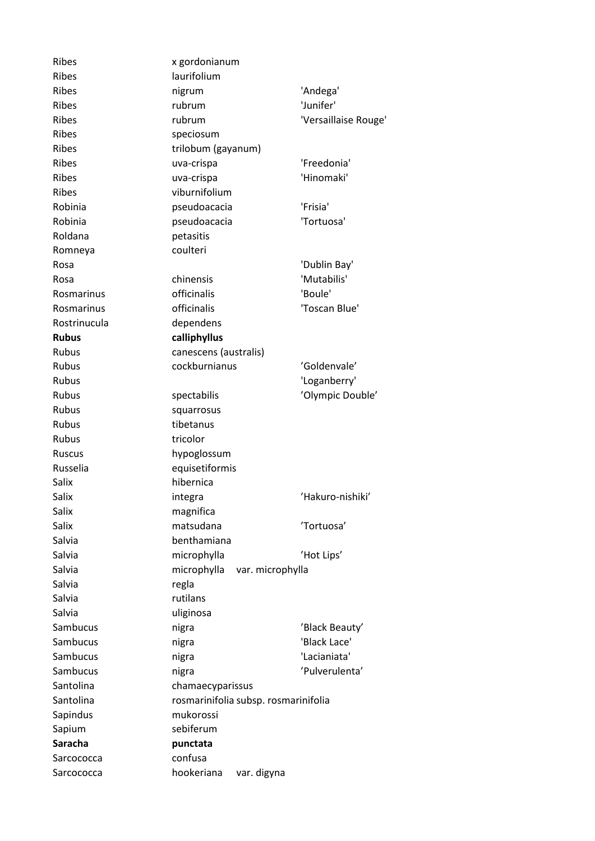| <b>Ribes</b>   | x gordonianum                        |                      |
|----------------|--------------------------------------|----------------------|
| Ribes          | laurifolium                          |                      |
| <b>Ribes</b>   | nigrum                               | 'Andega'             |
| Ribes          | rubrum                               | 'Junifer'            |
| <b>Ribes</b>   | rubrum                               | 'Versaillaise Rouge' |
| Ribes          | speciosum                            |                      |
| <b>Ribes</b>   | trilobum (gayanum)                   |                      |
| <b>Ribes</b>   | uva-crispa                           | 'Freedonia'          |
| Ribes          | uva-crispa                           | 'Hinomaki'           |
| <b>Ribes</b>   | viburnifolium                        |                      |
| Robinia        | pseudoacacia                         | 'Frisia'             |
| Robinia        | pseudoacacia                         | 'Tortuosa'           |
| Roldana        | petasitis                            |                      |
| Romneya        | coulteri                             |                      |
| Rosa           |                                      | 'Dublin Bay'         |
| Rosa           | chinensis                            | 'Mutabilis'          |
| Rosmarinus     | officinalis                          | 'Boule'              |
| Rosmarinus     | officinalis                          | 'Toscan Blue'        |
| Rostrinucula   | dependens                            |                      |
| <b>Rubus</b>   | calliphyllus                         |                      |
| Rubus          | canescens (australis)                |                      |
| <b>Rubus</b>   | cockburnianus                        | 'Goldenvale'         |
| Rubus          |                                      | 'Loganberry'         |
| Rubus          | spectabilis                          | 'Olympic Double'     |
| <b>Rubus</b>   | squarrosus                           |                      |
| Rubus          | tibetanus                            |                      |
| Rubus          | tricolor                             |                      |
| <b>Ruscus</b>  | hypoglossum                          |                      |
| Russelia       | equisetiformis                       |                      |
| Salix          | hibernica                            |                      |
| Salix          | integra                              | 'Hakuro-nishiki'     |
| Salix          | magnifica                            |                      |
| Salix          | matsudana                            | 'Tortuosa'           |
| Salvia         | benthamiana                          |                      |
| Salvia         | microphylla                          | 'Hot Lips'           |
| Salvia         | microphylla<br>var. microphylla      |                      |
| Salvia         | regla                                |                      |
| Salvia         | rutilans                             |                      |
| Salvia         | uliginosa                            |                      |
| Sambucus       | nigra                                | 'Black Beauty'       |
| Sambucus       | nigra                                | 'Black Lace'         |
| Sambucus       | nigra                                | 'Lacianiata'         |
| Sambucus       | nigra                                | 'Pulverulenta'       |
| Santolina      | chamaecyparissus                     |                      |
| Santolina      | rosmarinifolia subsp. rosmarinifolia |                      |
| Sapindus       | mukorossi                            |                      |
| Sapium         | sebiferum                            |                      |
| <b>Saracha</b> | punctata                             |                      |
| Sarcococca     | confusa                              |                      |
| Sarcococca     | hookeriana<br>var. digyna            |                      |
|                |                                      |                      |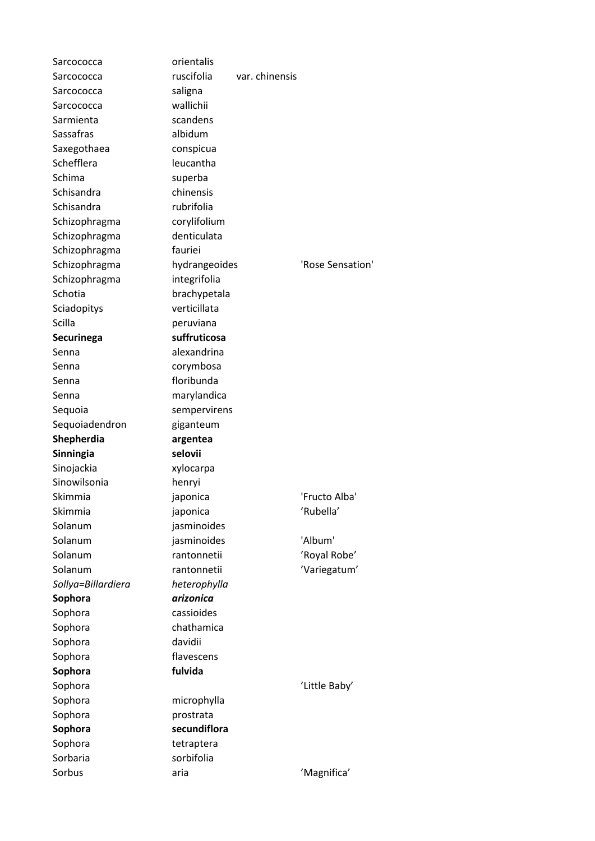| Sarcococca                 | orientalis                |                |                  |
|----------------------------|---------------------------|----------------|------------------|
| Sarcococca                 | ruscifolia                | var. chinensis |                  |
| Sarcococca                 | saligna                   |                |                  |
| Sarcococca                 | wallichii                 |                |                  |
| Sarmienta                  | scandens                  |                |                  |
| Sassafras                  | albidum                   |                |                  |
| Saxegothaea                | conspicua                 |                |                  |
| Schefflera                 | leucantha                 |                |                  |
| Schima                     | superba                   |                |                  |
| Schisandra                 | chinensis                 |                |                  |
| Schisandra                 | rubrifolia                |                |                  |
| Schizophragma              | corylifolium              |                |                  |
| Schizophragma              | denticulata               |                |                  |
| Schizophragma              | fauriei                   |                |                  |
| Schizophragma              | hydrangeoides             |                | 'Rose Sensation' |
| Schizophragma              | integrifolia              |                |                  |
| Schotia                    | brachypetala              |                |                  |
| Sciadopitys                | verticillata              |                |                  |
| Scilla                     | peruviana                 |                |                  |
| Securinega                 | suffruticosa              |                |                  |
| Senna                      | alexandrina               |                |                  |
| Senna                      | corymbosa                 |                |                  |
| Senna                      | floribunda                |                |                  |
| Senna                      | marylandica               |                |                  |
| Sequoia                    | sempervirens              |                |                  |
| Sequoiadendron             | giganteum                 |                |                  |
| Shepherdia                 | argentea                  |                |                  |
|                            |                           |                |                  |
|                            | selovii                   |                |                  |
| Sinningia                  |                           |                |                  |
| Sinojackia<br>Sinowilsonia | xylocarpa                 |                |                  |
| Skimmia                    | henryi                    |                | 'Fructo Alba'    |
|                            | japonica                  |                |                  |
| Skimmia                    | japonica                  |                | 'Rubella'        |
| Solanum                    | jasminoides               |                |                  |
| Solanum                    | jasminoides               |                | 'Album'          |
| Solanum<br>Solanum         | rantonnetii               |                | 'Royal Robe'     |
|                            | rantonnetii               |                | 'Variegatum'     |
| Sollya=Billardiera         | heterophylla<br>arizonica |                |                  |
| Sophora                    |                           |                |                  |
| Sophora                    | cassioides                |                |                  |
| Sophora                    | chathamica                |                |                  |
| Sophora                    | davidii                   |                |                  |
| Sophora                    | flavescens                |                |                  |
| Sophora                    | fulvida                   |                |                  |
| Sophora                    |                           |                | 'Little Baby'    |
| Sophora                    | microphylla               |                |                  |
| Sophora                    | prostrata                 |                |                  |
| Sophora                    | secundiflora              |                |                  |
| Sophora                    | tetraptera                |                |                  |
| Sorbaria<br>Sorbus         | sorbifolia<br>aria        |                | 'Magnifica'      |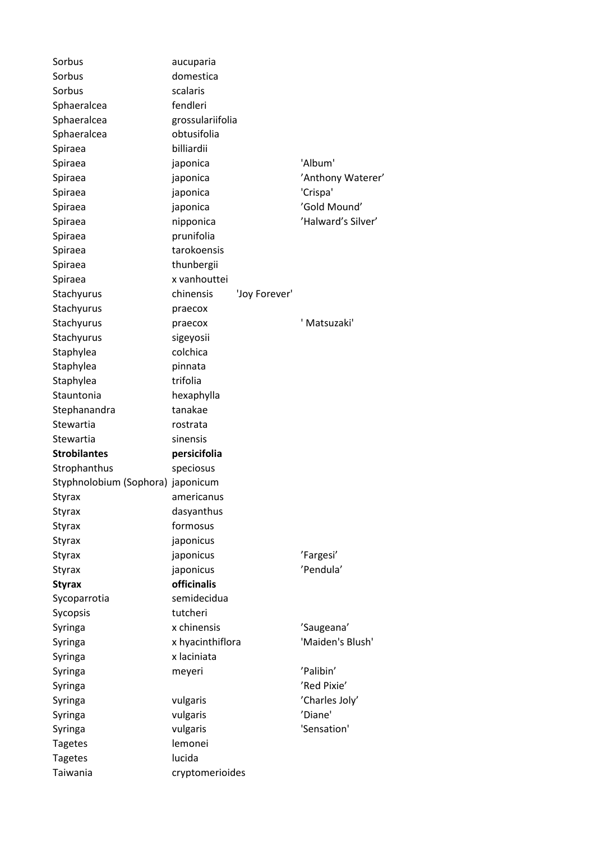| Sorbus                            | aucuparia                       |                          |
|-----------------------------------|---------------------------------|--------------------------|
| Sorbus                            | domestica                       |                          |
| Sorbus                            | scalaris                        |                          |
| Sphaeralcea                       | fendleri                        |                          |
| Sphaeralcea                       | grossulariifolia                |                          |
| Sphaeralcea                       | obtusifolia                     |                          |
| Spiraea                           | billiardii                      |                          |
| Spiraea                           | japonica                        | 'Album'                  |
| Spiraea                           | japonica                        | 'Anthony Waterer'        |
| Spiraea                           | japonica                        | 'Crispa'                 |
| Spiraea                           | japonica                        | 'Gold Mound'             |
| Spiraea                           | nipponica                       | 'Halward's Silver'       |
| Spiraea                           | prunifolia                      |                          |
| Spiraea                           | tarokoensis                     |                          |
| Spiraea                           | thunbergii                      |                          |
| Spiraea                           | x vanhouttei                    |                          |
| Stachyurus                        | chinensis<br>'Joy Forever'      |                          |
| Stachyurus                        | praecox                         |                          |
| Stachyurus                        | praecox                         | ' Matsuzaki'             |
| Stachyurus                        | sigeyosii                       |                          |
| Staphylea                         | colchica                        |                          |
| Staphylea                         | pinnata                         |                          |
| Staphylea                         | trifolia                        |                          |
| Stauntonia                        | hexaphylla                      |                          |
| Stephanandra                      | tanakae                         |                          |
| Stewartia                         | rostrata                        |                          |
| Stewartia                         | sinensis                        |                          |
| <b>Strobilantes</b>               | persicifolia                    |                          |
| Strophanthus                      | speciosus                       |                          |
| Styphnolobium (Sophora) japonicum |                                 |                          |
| Styrax                            | americanus                      |                          |
| Styrax                            | dasyanthus                      |                          |
| Styrax                            | formosus                        |                          |
| <b>Styrax</b>                     | japonicus                       |                          |
| Styrax                            | japonicus                       | 'Fargesi'                |
| <b>Styrax</b>                     | japonicus                       | 'Pendula'                |
| <b>Styrax</b>                     | officinalis                     |                          |
| Sycoparrotia                      | semidecidua                     |                          |
|                                   | tutcheri                        |                          |
| Sycopsis<br>Syringa               | x chinensis                     | 'Saugeana'               |
|                                   |                                 | 'Maiden's Blush'         |
| Syringa                           | x hyacinthiflora<br>x laciniata |                          |
| Syringa                           |                                 |                          |
| Syringa                           | meyeri                          | 'Palibin'<br>'Red Pixie' |
| Syringa                           |                                 |                          |
| Syringa                           | vulgaris                        | 'Charles Joly'           |
| Syringa                           | vulgaris                        | 'Diane'                  |
| Syringa                           | vulgaris                        | 'Sensation'              |
| <b>Tagetes</b>                    | lemonei                         |                          |
| <b>Tagetes</b>                    | lucida                          |                          |
| Taiwania                          | cryptomerioides                 |                          |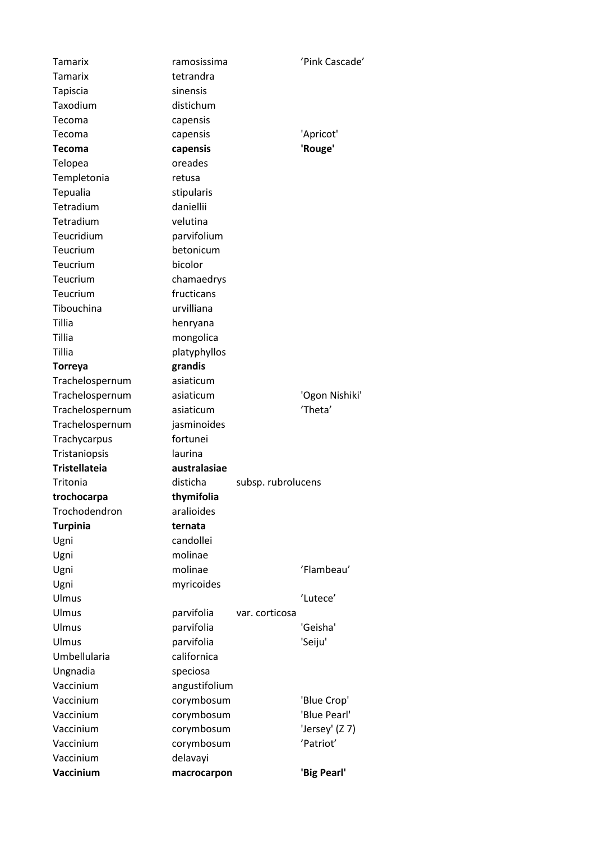| <b>Tamarix</b>       | ramosissima   |                    | 'Pink Cascade' |
|----------------------|---------------|--------------------|----------------|
| <b>Tamarix</b>       | tetrandra     |                    |                |
| Tapiscia             | sinensis      |                    |                |
| Taxodium             | distichum     |                    |                |
| Tecoma               | capensis      |                    |                |
| Tecoma               | capensis      |                    | 'Apricot'      |
| <b>Tecoma</b>        | capensis      |                    | 'Rouge'        |
| Telopea              | oreades       |                    |                |
| Templetonia          | retusa        |                    |                |
| Tepualia             | stipularis    |                    |                |
| Tetradium            | daniellii     |                    |                |
| Tetradium            | velutina      |                    |                |
| Teucridium           | parvifolium   |                    |                |
| Teucrium             | betonicum     |                    |                |
| Teucrium             | bicolor       |                    |                |
| Teucrium             | chamaedrys    |                    |                |
| Teucrium             | fructicans    |                    |                |
| Tibouchina           | urvilliana    |                    |                |
| Tillia               | henryana      |                    |                |
| Tillia               | mongolica     |                    |                |
| Tillia               | platyphyllos  |                    |                |
| <b>Torreya</b>       | grandis       |                    |                |
| Trachelospernum      | asiaticum     |                    |                |
| Trachelospernum      | asiaticum     |                    | 'Ogon Nishiki' |
| Trachelospernum      | asiaticum     |                    | 'Theta'        |
| Trachelospernum      | jasminoides   |                    |                |
| Trachycarpus         | fortunei      |                    |                |
| Tristaniopsis        | laurina       |                    |                |
| <b>Tristellateia</b> | australasiae  |                    |                |
| Tritonia             | disticha      | subsp. rubrolucens |                |
| trochocarpa          | thymifolia    |                    |                |
| Trochodendron        | aralioides    |                    |                |
| <b>Turpinia</b>      | ternata       |                    |                |
| Ugni                 | candollei     |                    |                |
|                      | molinae       |                    |                |
| Ugni                 | molinae       |                    | 'Flambeau'     |
| Ugni                 |               |                    |                |
| Ugni                 | myricoides    |                    |                |
| Ulmus                |               |                    | 'Lutece'       |
| Ulmus                | parvifolia    | var. corticosa     |                |
| Ulmus                | parvifolia    |                    | 'Geisha'       |
| Ulmus                | parvifolia    |                    | 'Seiju'        |
| Umbellularia         | californica   |                    |                |
| Ungnadia             | speciosa      |                    |                |
| Vaccinium            | angustifolium |                    |                |
| Vaccinium            | corymbosum    |                    | 'Blue Crop'    |
| Vaccinium            | corymbosum    |                    | 'Blue Pearl'   |
| Vaccinium            | corymbosum    |                    | 'Jersey' (Z 7) |
| Vaccinium            | corymbosum    |                    | 'Patriot'      |
| Vaccinium            | delavayi      |                    |                |
| Vaccinium            | macrocarpon   |                    | 'Big Pearl'    |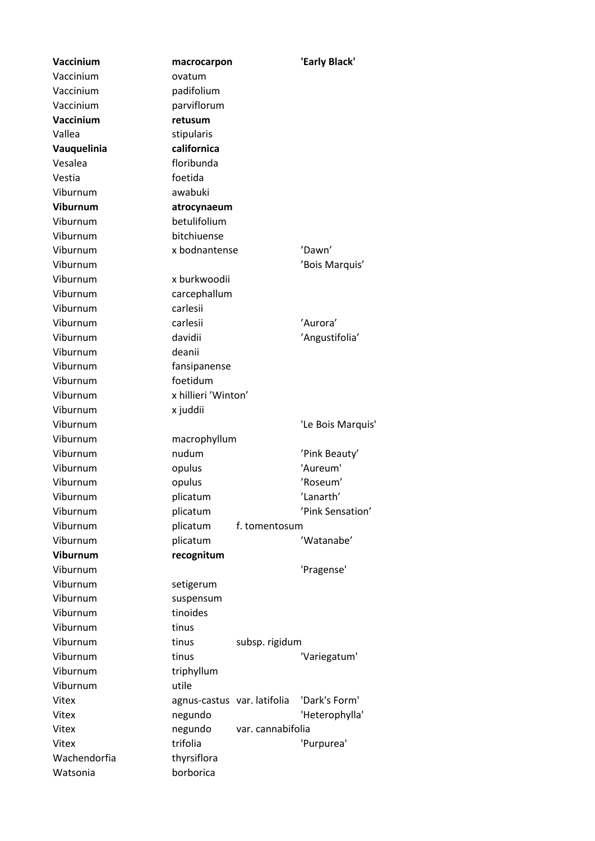**Vaccinium macrocarpon 'Early Black'** Vaccinium ovatum Vaccinium padifolium Vaccinium parviflorum **Vaccinium retusum** Vallea stipularis **Vauquelinia californica** Vesalea floribunda Vestia foetida Viburnum awabuki **Viburnum atrocynaeum** Viburnum betulifolium Viburnum bitchiuense Viburnum x bodnantense 'Dawn' Viburnum 'Bois Marquis' Viburnum x burkwoodii Viburnum carcephallum Viburnum carlesii Viburnum carlesii 'Aurora' Viburnum davidii 'Angustifolia' Viburnum deanii Viburnum fansipanense Viburnum foetidum Viburnum x hillieri 'Winton' Viburnum x juddii Viburnum 'Le Bois Marquis' Viburnum macrophyllum Viburnum nudum 'Pink Beauty' Viburnum opulus 'Aureum' Viburnum opulus 'Roseum' Viburnum plicatum 'Lanarth' Viburnum plicatum 'Pink Sensation' Viburnum plicatum f. tomentosum Viburnum plicatum / Watanabe' **Viburnum recognitum** Viburnum 'Pragense' Viburnum setigerum Viburnum suspensum Viburnum tinoides Viburnum tinus Viburnum tinus subsp. rigidum Viburnum tinus tinus 'Variegatum' Viburnum triphyllum Viburnum utile Vitex agnus-castus var. latifolia 'Dark's Form' Vitex negundo 'Heterophylla' Vitex negundo var. cannabifolia Vitex **trifolia** trifolia 'Purpurea' Wachendorfia thyrsiflora Watsonia borborica